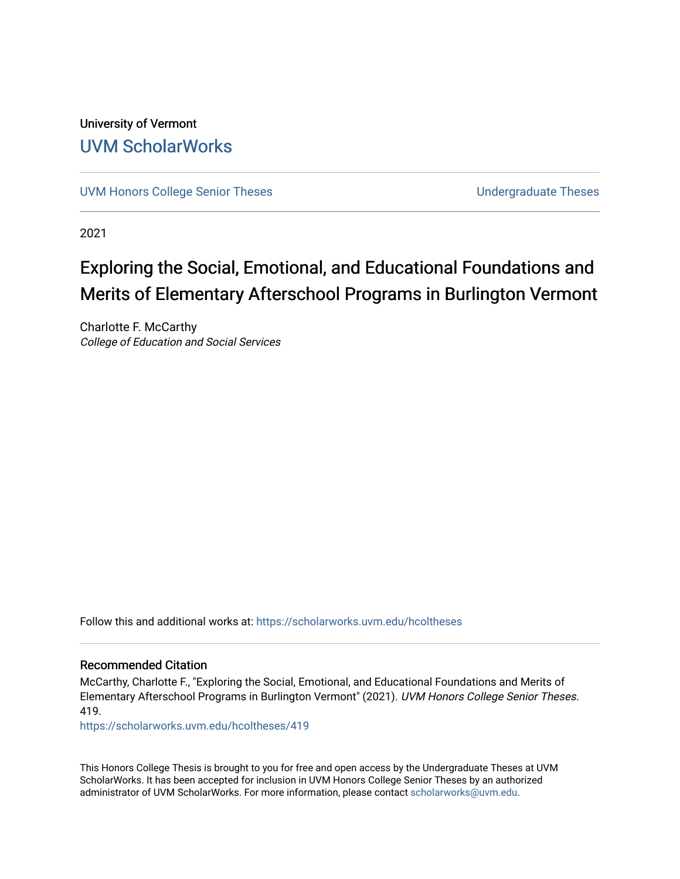University of Vermont [UVM ScholarWorks](https://scholarworks.uvm.edu/)

[UVM Honors College Senior Theses](https://scholarworks.uvm.edu/hcoltheses) **Exercise Sension College Senior Theses** Undergraduate Theses

2021

## Exploring the Social, Emotional, and Educational Foundations and Merits of Elementary Afterschool Programs in Burlington Vermont

Charlotte F. McCarthy College of Education and Social Services

Follow this and additional works at: [https://scholarworks.uvm.edu/hcoltheses](https://scholarworks.uvm.edu/hcoltheses?utm_source=scholarworks.uvm.edu%2Fhcoltheses%2F419&utm_medium=PDF&utm_campaign=PDFCoverPages) 

#### Recommended Citation

McCarthy, Charlotte F., "Exploring the Social, Emotional, and Educational Foundations and Merits of Elementary Afterschool Programs in Burlington Vermont" (2021). UVM Honors College Senior Theses. 419.

[https://scholarworks.uvm.edu/hcoltheses/419](https://scholarworks.uvm.edu/hcoltheses/419?utm_source=scholarworks.uvm.edu%2Fhcoltheses%2F419&utm_medium=PDF&utm_campaign=PDFCoverPages) 

This Honors College Thesis is brought to you for free and open access by the Undergraduate Theses at UVM ScholarWorks. It has been accepted for inclusion in UVM Honors College Senior Theses by an authorized administrator of UVM ScholarWorks. For more information, please contact [scholarworks@uvm.edu](mailto:scholarworks@uvm.edu).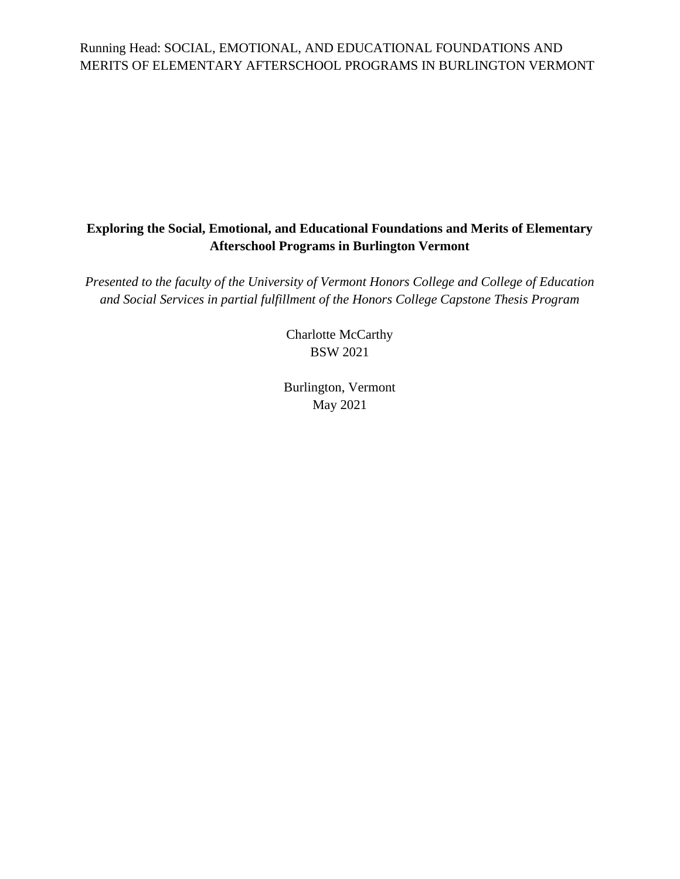#### **Exploring the Social, Emotional, and Educational Foundations and Merits of Elementary Afterschool Programs in Burlington Vermont**

*Presented to the faculty of the University of Vermont Honors College and College of Education and Social Services in partial fulfillment of the Honors College Capstone Thesis Program*

> Charlotte McCarthy BSW 2021

Burlington, Vermont May 2021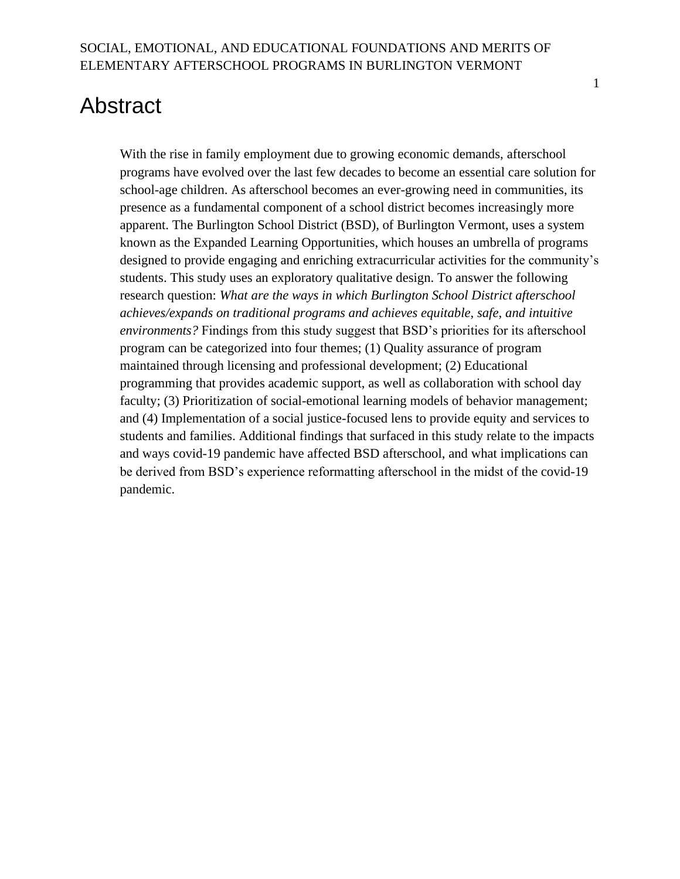# <span id="page-2-0"></span>Abstract

With the rise in family employment due to growing economic demands, afterschool programs have evolved over the last few decades to become an essential care solution for school-age children. As afterschool becomes an ever-growing need in communities, its presence as a fundamental component of a school district becomes increasingly more apparent. The Burlington School District (BSD), of Burlington Vermont, uses a system known as the Expanded Learning Opportunities, which houses an umbrella of programs designed to provide engaging and enriching extracurricular activities for the community's students. This study uses an exploratory qualitative design. To answer the following research question: *What are the ways in which Burlington School District afterschool achieves/expands on traditional programs and achieves equitable, safe, and intuitive environments?* Findings from this study suggest that BSD's priorities for its afterschool program can be categorized into four themes; (1) Quality assurance of program maintained through licensing and professional development; (2) Educational programming that provides academic support, as well as collaboration with school day faculty; (3) Prioritization of social-emotional learning models of behavior management; and (4) Implementation of a social justice-focused lens to provide equity and services to students and families. Additional findings that surfaced in this study relate to the impacts and ways covid-19 pandemic have affected BSD afterschool, and what implications can be derived from BSD's experience reformatting afterschool in the midst of the covid-19 pandemic.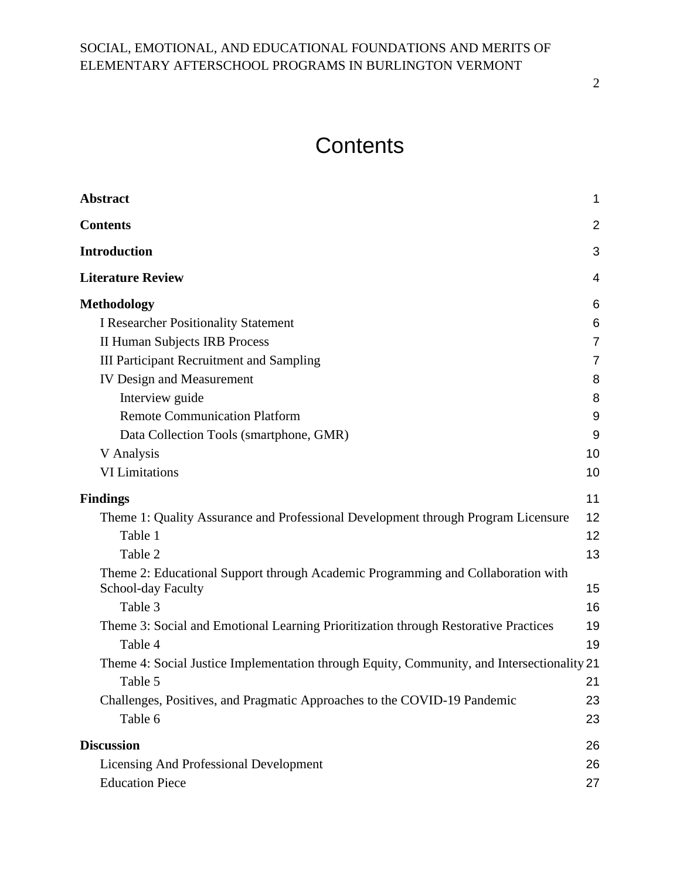# **Contents**

<span id="page-3-0"></span>

| <b>Abstract</b>                                                                                        | 1              |
|--------------------------------------------------------------------------------------------------------|----------------|
| <b>Contents</b>                                                                                        | $\overline{2}$ |
| <b>Introduction</b>                                                                                    | 3              |
| <b>Literature Review</b>                                                                               | 4              |
| <b>Methodology</b>                                                                                     | 6              |
| <b>I Researcher Positionality Statement</b>                                                            | 6              |
| <b>II Human Subjects IRB Process</b>                                                                   | 7              |
| <b>III Participant Recruitment and Sampling</b>                                                        | 7              |
| <b>IV Design and Measurement</b>                                                                       | 8              |
| Interview guide                                                                                        | 8              |
| <b>Remote Communication Platform</b>                                                                   | 9              |
| Data Collection Tools (smartphone, GMR)                                                                | 9              |
| V Analysis                                                                                             | 10             |
| <b>VI</b> Limitations                                                                                  | 10             |
| <b>Findings</b>                                                                                        | 11             |
| Theme 1: Quality Assurance and Professional Development through Program Licensure                      | 12             |
| Table 1                                                                                                | 12             |
| Table 2                                                                                                | 13             |
| Theme 2: Educational Support through Academic Programming and Collaboration with<br>School-day Faculty | 15             |
| Table 3                                                                                                | 16             |
| Theme 3: Social and Emotional Learning Prioritization through Restorative Practices                    | 19             |
| Table 4                                                                                                | 19             |
| Theme 4: Social Justice Implementation through Equity, Community, and Intersectionality 21             |                |
| Table 5                                                                                                | 21             |
| Challenges, Positives, and Pragmatic Approaches to the COVID-19 Pandemic                               | 23             |
| Table 6                                                                                                | 23             |
| <b>Discussion</b>                                                                                      | 26             |
| <b>Licensing And Professional Development</b>                                                          | 26             |
| <b>Education Piece</b>                                                                                 | 27             |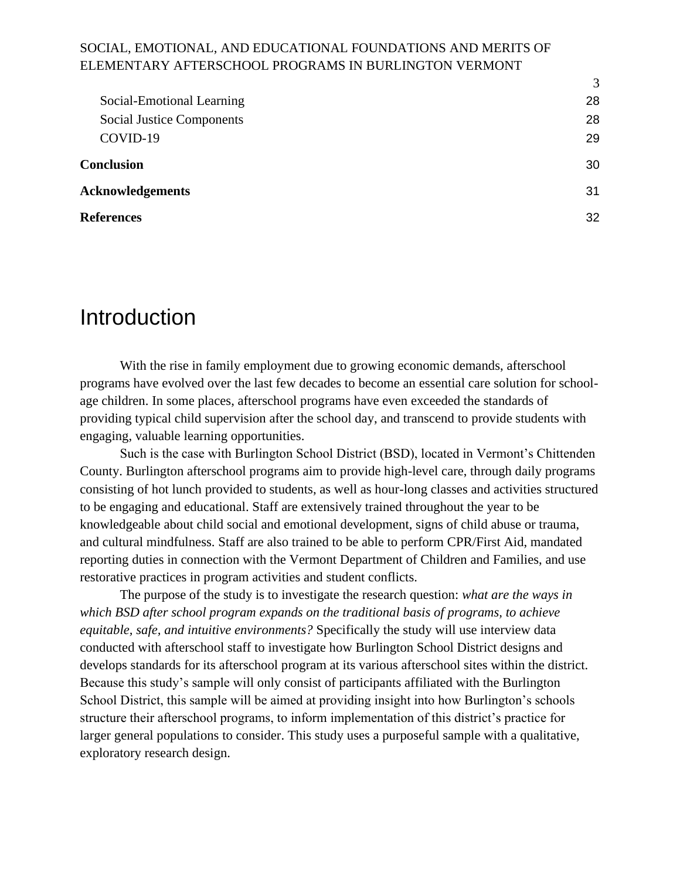|                                  | 3  |
|----------------------------------|----|
| Social-Emotional Learning        | 28 |
| <b>Social Justice Components</b> | 28 |
| COVID-19                         | 29 |
| <b>Conclusion</b>                | 30 |
| <b>Acknowledgements</b>          |    |
| <b>References</b>                | 32 |
|                                  |    |

## <span id="page-4-0"></span>Introduction

With the rise in family employment due to growing economic demands, afterschool programs have evolved over the last few decades to become an essential care solution for schoolage children. In some places, afterschool programs have even exceeded the standards of providing typical child supervision after the school day, and transcend to provide students with engaging, valuable learning opportunities.

Such is the case with Burlington School District (BSD), located in Vermont's Chittenden County. Burlington afterschool programs aim to provide high-level care, through daily programs consisting of hot lunch provided to students, as well as hour-long classes and activities structured to be engaging and educational. Staff are extensively trained throughout the year to be knowledgeable about child social and emotional development, signs of child abuse or trauma, and cultural mindfulness. Staff are also trained to be able to perform CPR/First Aid, mandated reporting duties in connection with the Vermont Department of Children and Families, and use restorative practices in program activities and student conflicts.

The purpose of the study is to investigate the research question: *what are the ways in which BSD after school program expands on the traditional basis of programs, to achieve equitable, safe, and intuitive environments?* Specifically the study will use interview data conducted with afterschool staff to investigate how Burlington School District designs and develops standards for its afterschool program at its various afterschool sites within the district. Because this study's sample will only consist of participants affiliated with the Burlington School District, this sample will be aimed at providing insight into how Burlington's schools structure their afterschool programs, to inform implementation of this district's practice for larger general populations to consider. This study uses a purposeful sample with a qualitative, exploratory research design.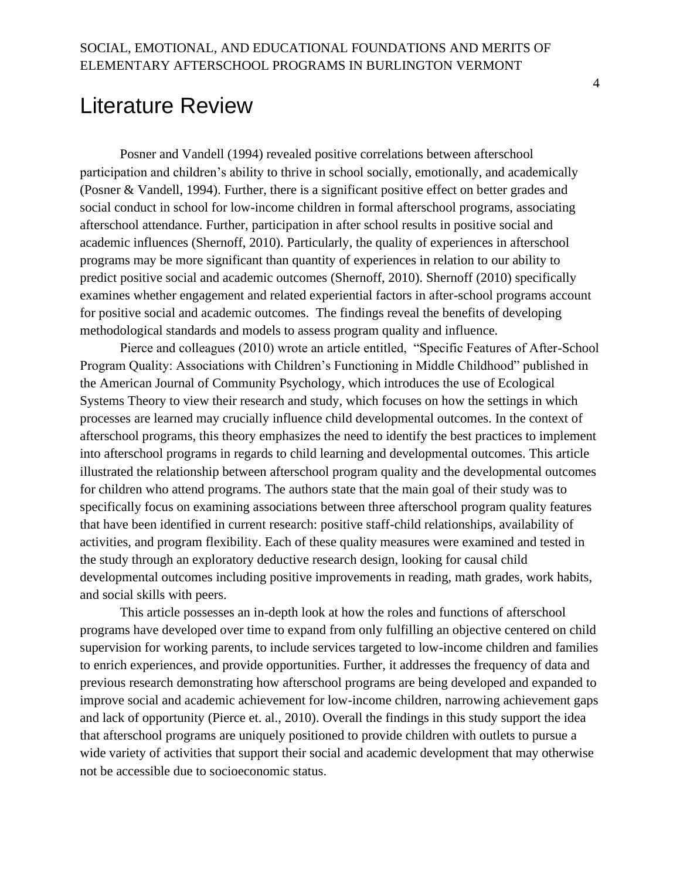## <span id="page-5-0"></span>Literature Review

Posner and Vandell (1994) revealed positive correlations between afterschool participation and children's ability to thrive in school socially, emotionally, and academically (Posner & Vandell, 1994). Further, there is a significant positive effect on better grades and social conduct in school for low-income children in formal afterschool programs, associating afterschool attendance. Further, participation in after school results in positive social and academic influences (Shernoff, 2010). Particularly, the quality of experiences in afterschool programs may be more significant than quantity of experiences in relation to our ability to predict positive social and academic outcomes (Shernoff, 2010). Shernoff (2010) specifically examines whether engagement and related experiential factors in after-school programs account for positive social and academic outcomes. The findings reveal the benefits of developing methodological standards and models to assess program quality and influence.

Pierce and colleagues (2010) wrote an article entitled, "Specific Features of After-School Program Quality: Associations with Children's Functioning in Middle Childhood" published in the American Journal of Community Psychology, which introduces the use of Ecological Systems Theory to view their research and study, which focuses on how the settings in which processes are learned may crucially influence child developmental outcomes. In the context of afterschool programs, this theory emphasizes the need to identify the best practices to implement into afterschool programs in regards to child learning and developmental outcomes. This article illustrated the relationship between afterschool program quality and the developmental outcomes for children who attend programs. The authors state that the main goal of their study was to specifically focus on examining associations between three afterschool program quality features that have been identified in current research: positive staff-child relationships, availability of activities, and program flexibility. Each of these quality measures were examined and tested in the study through an exploratory deductive research design, looking for causal child developmental outcomes including positive improvements in reading, math grades, work habits, and social skills with peers.

This article possesses an in-depth look at how the roles and functions of afterschool programs have developed over time to expand from only fulfilling an objective centered on child supervision for working parents, to include services targeted to low-income children and families to enrich experiences, and provide opportunities. Further, it addresses the frequency of data and previous research demonstrating how afterschool programs are being developed and expanded to improve social and academic achievement for low-income children, narrowing achievement gaps and lack of opportunity (Pierce et. al., 2010). Overall the findings in this study support the idea that afterschool programs are uniquely positioned to provide children with outlets to pursue a wide variety of activities that support their social and academic development that may otherwise not be accessible due to socioeconomic status.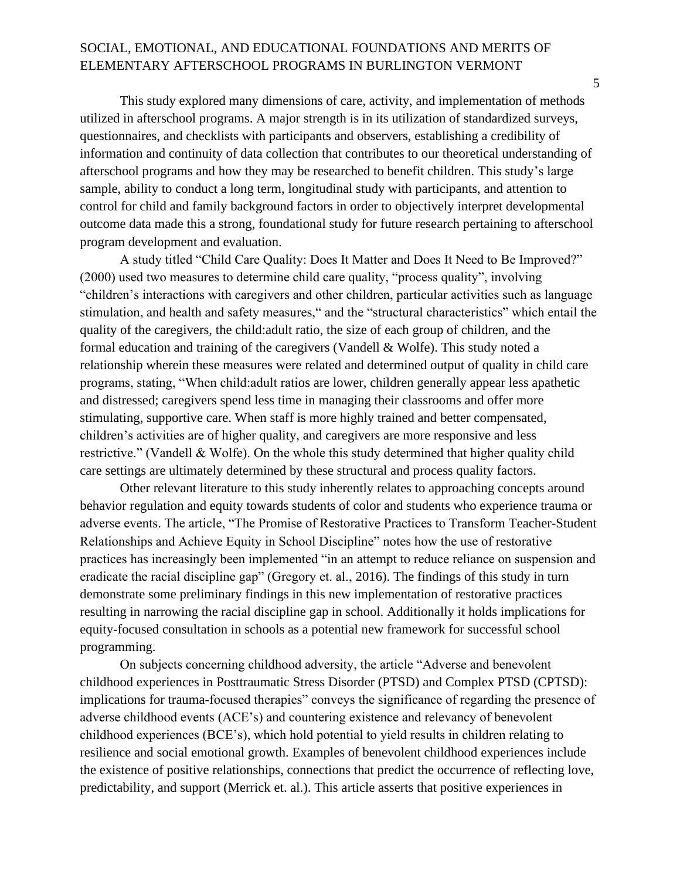This study explored many dimensions of care, activity, and implementation of methods utilized in afterschool programs. A major strength is in its utilization of standardized surveys, questionnaires, and checklists with participants and observers, establishing a credibility of information and continuity of data collection that contributes to our theoretical understanding of afterschool programs and how they may be researched to benefit children. This study's large sample, ability to conduct a long term, longitudinal study with participants, and attention to control for child and family background factors in order to objectively interpret developmental outcome data made this a strong, foundational study for future research pertaining to afterschool program development and evaluation.

A study titled "Child Care Quality: Does It Matter and Does It Need to Be Improved?" (2000) used two measures to determine child care quality, "process quality", involving "children's interactions with caregivers and other children, particular activities such as language stimulation, and health and safety measures," and the "structural characteristics" which entail the quality of the caregivers, the child:adult ratio, the size of each group of children, and the formal education and training of the caregivers (Vandell & Wolfe). This study noted a relationship wherein these measures were related and determined output of quality in child care programs, stating, "When child:adult ratios are lower, children generally appear less apathetic and distressed; caregivers spend less time in managing their classrooms and offer more stimulating, supportive care. When staff is more highly trained and better compensated, children's activities are of higher quality, and caregivers are more responsive and less restrictive." (Vandell & Wolfe). On the whole this study determined that higher quality child care settings are ultimately determined by these structural and process quality factors.

Other relevant literature to this study inherently relates to approaching concepts around behavior regulation and equity towards students of color and students who experience trauma or adverse events. The article, "The Promise of Restorative Practices to Transform Teacher-Student Relationships and Achieve Equity in School Discipline" notes how the use of restorative practices has increasingly been implemented "in an attempt to reduce reliance on suspension and eradicate the racial discipline gap" (Gregory et. al., 2016). The findings of this study in turn demonstrate some preliminary findings in this new implementation of restorative practices resulting in narrowing the racial discipline gap in school. Additionally it holds implications for equity-focused consultation in schools as a potential new framework for successful school programming.

On subjects concerning childhood adversity, the article "Adverse and benevolent childhood experiences in Posttraumatic Stress Disorder (PTSD) and Complex PTSD (CPTSD): implications for trauma-focused therapies" conveys the significance of regarding the presence of adverse childhood events (ACE's) and countering existence and relevancy of benevolent childhood experiences (BCE's), which hold potential to yield results in children relating to resilience and social emotional growth. Examples of benevolent childhood experiences include the existence of positive relationships, connections that predict the occurrence of reflecting love, predictability, and support (Merrick et. al.). This article asserts that positive experiences in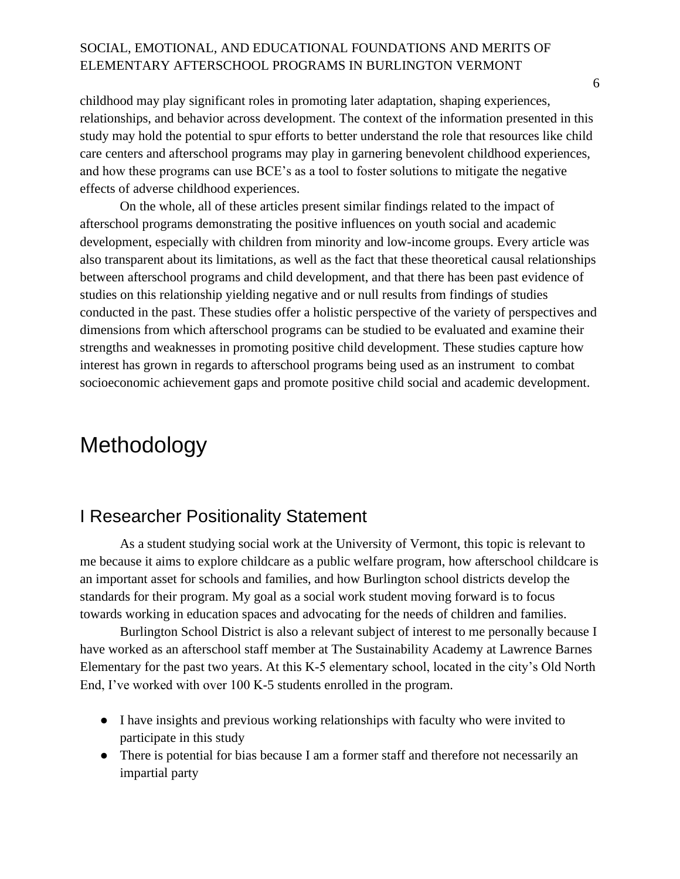childhood may play significant roles in promoting later adaptation, shaping experiences, relationships, and behavior across development. The context of the information presented in this study may hold the potential to spur efforts to better understand the role that resources like child care centers and afterschool programs may play in garnering benevolent childhood experiences, and how these programs can use BCE's as a tool to foster solutions to mitigate the negative effects of adverse childhood experiences.

On the whole, all of these articles present similar findings related to the impact of afterschool programs demonstrating the positive influences on youth social and academic development, especially with children from minority and low-income groups. Every article was also transparent about its limitations, as well as the fact that these theoretical causal relationships between afterschool programs and child development, and that there has been past evidence of studies on this relationship yielding negative and or null results from findings of studies conducted in the past. These studies offer a holistic perspective of the variety of perspectives and dimensions from which afterschool programs can be studied to be evaluated and examine their strengths and weaknesses in promoting positive child development. These studies capture how interest has grown in regards to afterschool programs being used as an instrument to combat socioeconomic achievement gaps and promote positive child social and academic development.

## <span id="page-7-0"></span>Methodology

## <span id="page-7-1"></span>I Researcher Positionality Statement

As a student studying social work at the University of Vermont, this topic is relevant to me because it aims to explore childcare as a public welfare program, how afterschool childcare is an important asset for schools and families, and how Burlington school districts develop the standards for their program. My goal as a social work student moving forward is to focus towards working in education spaces and advocating for the needs of children and families.

Burlington School District is also a relevant subject of interest to me personally because I have worked as an afterschool staff member at The Sustainability Academy at Lawrence Barnes Elementary for the past two years. At this K-5 elementary school, located in the city's Old North End, I've worked with over 100 K-5 students enrolled in the program.

- I have insights and previous working relationships with faculty who were invited to participate in this study
- There is potential for bias because I am a former staff and therefore not necessarily an impartial party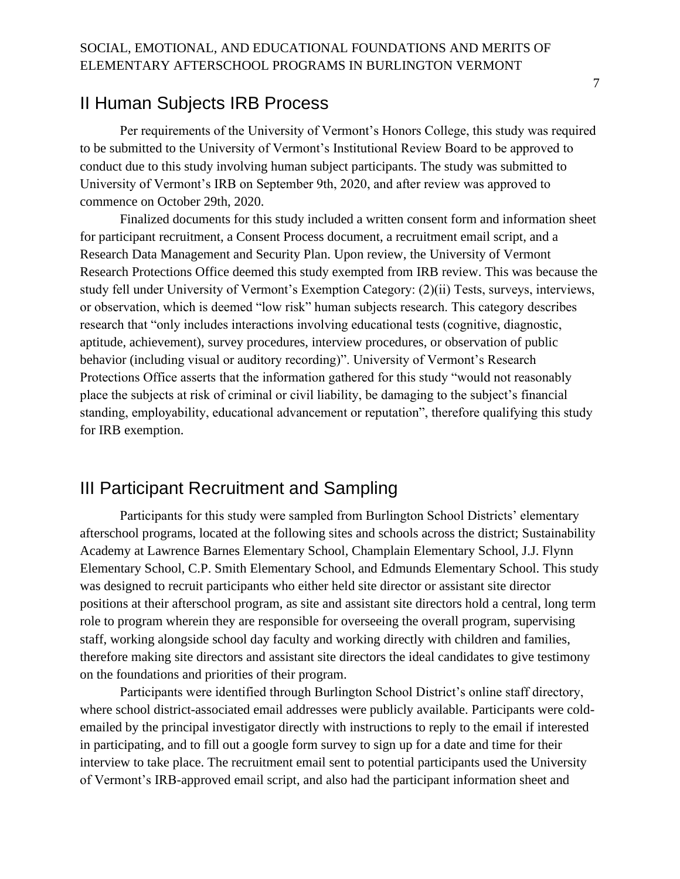### <span id="page-8-0"></span>II Human Subjects IRB Process

Per requirements of the University of Vermont's Honors College, this study was required to be submitted to the University of Vermont's Institutional Review Board to be approved to conduct due to this study involving human subject participants. The study was submitted to University of Vermont's IRB on September 9th, 2020, and after review was approved to commence on October 29th, 2020.

Finalized documents for this study included a written consent form and information sheet for participant recruitment, a Consent Process document, a recruitment email script, and a Research Data Management and Security Plan. Upon review, the University of Vermont Research Protections Office deemed this study exempted from IRB review. This was because the study fell under University of Vermont's Exemption Category: (2)(ii) Tests, surveys, interviews, or observation, which is deemed "low risk" human subjects research. This category describes research that "only includes interactions involving educational tests (cognitive, diagnostic, aptitude, achievement), survey procedures, interview procedures, or observation of public behavior (including visual or auditory recording)". University of Vermont's Research Protections Office asserts that the information gathered for this study "would not reasonably place the subjects at risk of criminal or civil liability, be damaging to the subject's financial standing, employability, educational advancement or reputation", therefore qualifying this study for IRB exemption.

## <span id="page-8-1"></span>III Participant Recruitment and Sampling

Participants for this study were sampled from Burlington School Districts' elementary afterschool programs, located at the following sites and schools across the district; Sustainability Academy at Lawrence Barnes Elementary School, Champlain Elementary School, J.J. Flynn Elementary School, C.P. Smith Elementary School, and Edmunds Elementary School. This study was designed to recruit participants who either held site director or assistant site director positions at their afterschool program, as site and assistant site directors hold a central, long term role to program wherein they are responsible for overseeing the overall program, supervising staff, working alongside school day faculty and working directly with children and families, therefore making site directors and assistant site directors the ideal candidates to give testimony on the foundations and priorities of their program.

Participants were identified through Burlington School District's online staff directory, where school district-associated email addresses were publicly available. Participants were coldemailed by the principal investigator directly with instructions to reply to the email if interested in participating, and to fill out a google form survey to sign up for a date and time for their interview to take place. The recruitment email sent to potential participants used the University of Vermont's IRB-approved email script, and also had the participant information sheet and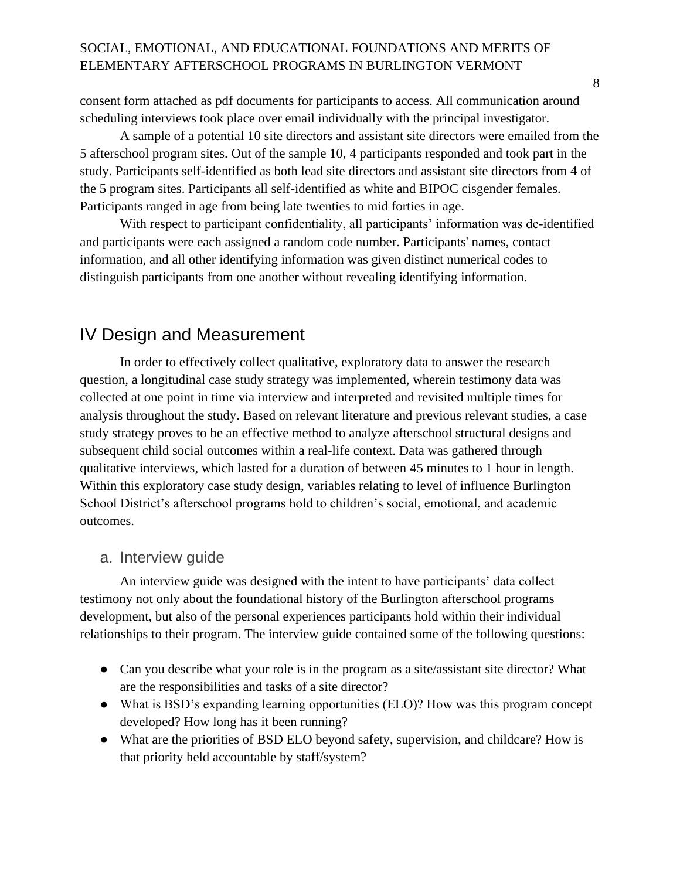consent form attached as pdf documents for participants to access. All communication around scheduling interviews took place over email individually with the principal investigator.

A sample of a potential 10 site directors and assistant site directors were emailed from the 5 afterschool program sites. Out of the sample 10, 4 participants responded and took part in the study. Participants self-identified as both lead site directors and assistant site directors from 4 of the 5 program sites. Participants all self-identified as white and BIPOC cisgender females. Participants ranged in age from being late twenties to mid forties in age.

With respect to participant confidentiality, all participants' information was de-identified and participants were each assigned a random code number. Participants' names, contact information, and all other identifying information was given distinct numerical codes to distinguish participants from one another without revealing identifying information.

## <span id="page-9-0"></span>IV Design and Measurement

In order to effectively collect qualitative, exploratory data to answer the research question, a longitudinal case study strategy was implemented, wherein testimony data was collected at one point in time via interview and interpreted and revisited multiple times for analysis throughout the study. Based on relevant literature and previous relevant studies, a case study strategy proves to be an effective method to analyze afterschool structural designs and subsequent child social outcomes within a real-life context. Data was gathered through qualitative interviews, which lasted for a duration of between 45 minutes to 1 hour in length. Within this exploratory case study design, variables relating to level of influence Burlington School District's afterschool programs hold to children's social, emotional, and academic outcomes.

#### <span id="page-9-1"></span>a. Interview guide

An interview guide was designed with the intent to have participants' data collect testimony not only about the foundational history of the Burlington afterschool programs development, but also of the personal experiences participants hold within their individual relationships to their program. The interview guide contained some of the following questions:

- Can you describe what your role is in the program as a site/assistant site director? What are the responsibilities and tasks of a site director?
- What is BSD's expanding learning opportunities (ELO)? How was this program concept developed? How long has it been running?
- What are the priorities of BSD ELO beyond safety, supervision, and childcare? How is that priority held accountable by staff/system?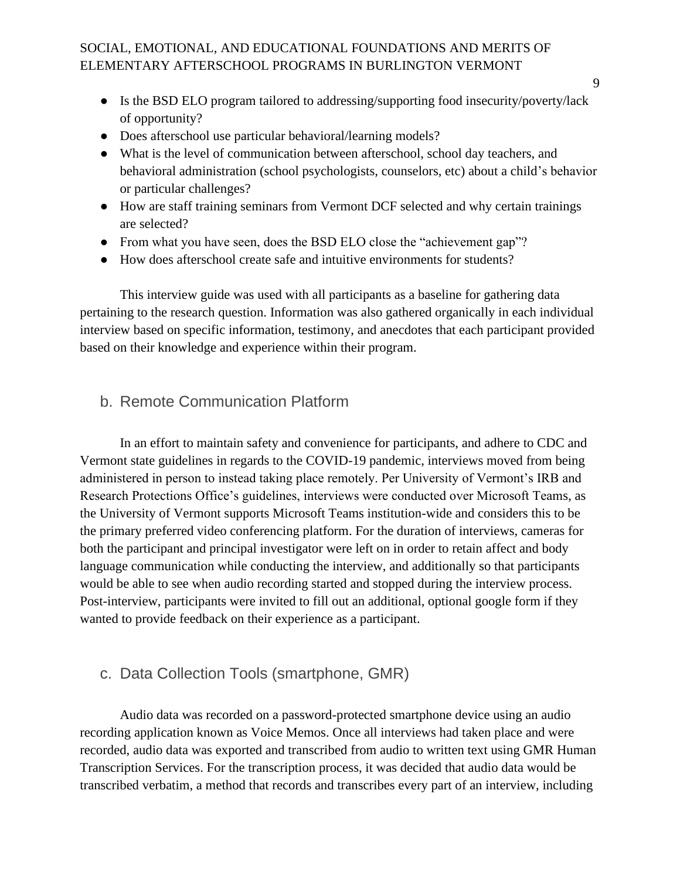- Is the BSD ELO program tailored to addressing/supporting food insecurity/poverty/lack of opportunity?
- Does afterschool use particular behavioral/learning models?
- What is the level of communication between afterschool, school day teachers, and behavioral administration (school psychologists, counselors, etc) about a child's behavior or particular challenges?
- How are staff training seminars from Vermont DCF selected and why certain trainings are selected?
- From what you have seen, does the BSD ELO close the "achievement gap"?
- How does afterschool create safe and intuitive environments for students?

This interview guide was used with all participants as a baseline for gathering data pertaining to the research question. Information was also gathered organically in each individual interview based on specific information, testimony, and anecdotes that each participant provided based on their knowledge and experience within their program.

### <span id="page-10-0"></span>b. Remote Communication Platform

In an effort to maintain safety and convenience for participants, and adhere to CDC and Vermont state guidelines in regards to the COVID-19 pandemic, interviews moved from being administered in person to instead taking place remotely. Per University of Vermont's IRB and Research Protections Office's guidelines, interviews were conducted over Microsoft Teams, as the University of Vermont supports Microsoft Teams institution-wide and considers this to be the primary preferred video conferencing platform. For the duration of interviews, cameras for both the participant and principal investigator were left on in order to retain affect and body language communication while conducting the interview, and additionally so that participants would be able to see when audio recording started and stopped during the interview process. Post-interview, participants were invited to fill out an additional, optional google form if they wanted to provide feedback on their experience as a participant.

### <span id="page-10-1"></span>c. Data Collection Tools (smartphone, GMR)

Audio data was recorded on a password-protected smartphone device using an audio recording application known as Voice Memos. Once all interviews had taken place and were recorded, audio data was exported and transcribed from audio to written text using GMR Human Transcription Services. For the transcription process, it was decided that audio data would be transcribed verbatim, a method that records and transcribes every part of an interview, including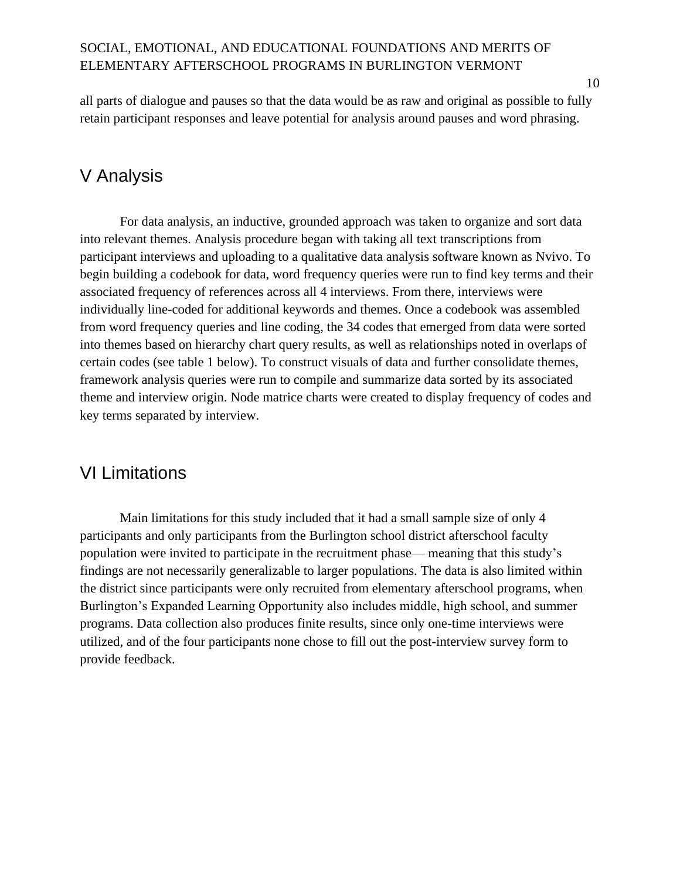all parts of dialogue and pauses so that the data would be as raw and original as possible to fully retain participant responses and leave potential for analysis around pauses and word phrasing.

## <span id="page-11-0"></span>V Analysis

For data analysis, an inductive, grounded approach was taken to organize and sort data into relevant themes. Analysis procedure began with taking all text transcriptions from participant interviews and uploading to a qualitative data analysis software known as Nvivo. To begin building a codebook for data, word frequency queries were run to find key terms and their associated frequency of references across all 4 interviews. From there, interviews were individually line-coded for additional keywords and themes. Once a codebook was assembled from word frequency queries and line coding, the 34 codes that emerged from data were sorted into themes based on hierarchy chart query results, as well as relationships noted in overlaps of certain codes (see table 1 below). To construct visuals of data and further consolidate themes, framework analysis queries were run to compile and summarize data sorted by its associated theme and interview origin. Node matrice charts were created to display frequency of codes and key terms separated by interview.

## <span id="page-11-1"></span>VI Limitations

Main limitations for this study included that it had a small sample size of only 4 participants and only participants from the Burlington school district afterschool faculty population were invited to participate in the recruitment phase— meaning that this study's findings are not necessarily generalizable to larger populations. The data is also limited within the district since participants were only recruited from elementary afterschool programs, when Burlington's Expanded Learning Opportunity also includes middle, high school, and summer programs. Data collection also produces finite results, since only one-time interviews were utilized, and of the four participants none chose to fill out the post-interview survey form to provide feedback.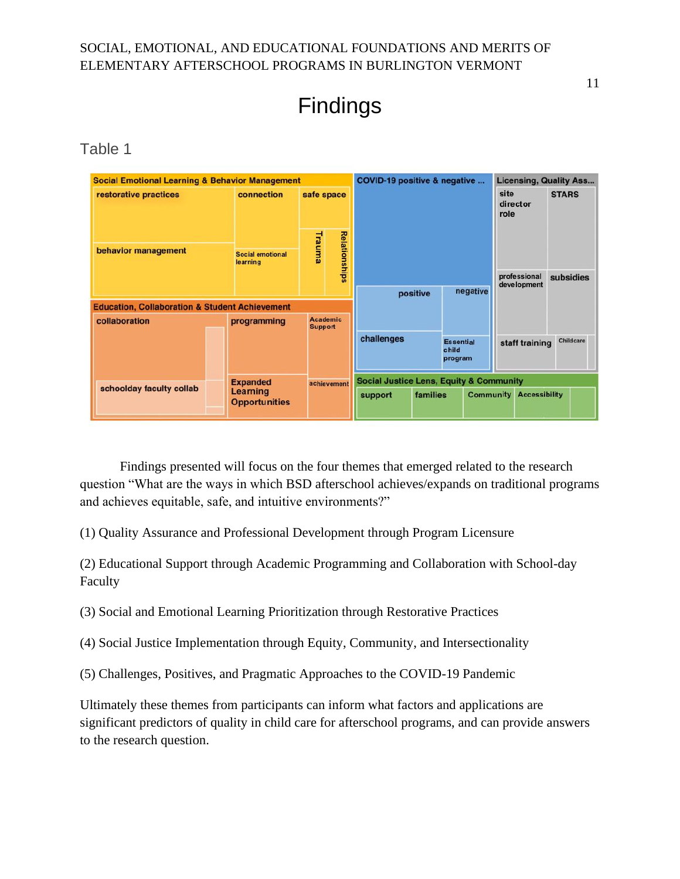Findings

<span id="page-12-0"></span>Table 1

| <b>Social Emotional Learning &amp; Behavior Management</b> |                                  |                                   | COVID-19 positive & negative<br><b>Licensing, Quality Ass</b> |                                                    |          |                                      |                             |           |
|------------------------------------------------------------|----------------------------------|-----------------------------------|---------------------------------------------------------------|----------------------------------------------------|----------|--------------------------------------|-----------------------------|-----------|
| restorative practices                                      | connection                       | safe space                        |                                                               |                                                    |          | site<br>director<br>role             | <b>STARS</b>                |           |
| behavior management                                        | Trauma<br>Social emotional       |                                   | <b>Relationships</b>                                          |                                                    |          |                                      |                             |           |
|                                                            | learning                         |                                   |                                                               |                                                    |          |                                      | professional<br>development | subsidies |
|                                                            |                                  |                                   |                                                               | positive                                           |          | negative                             |                             |           |
| <b>Education, Collaboration &amp; Student Achievement</b>  |                                  |                                   |                                                               |                                                    |          |                                      |                             |           |
| collaboration                                              | programming                      | <b>Academic</b><br><b>Support</b> |                                                               |                                                    |          |                                      |                             |           |
|                                                            |                                  |                                   |                                                               | challenges                                         |          | <b>Essential</b><br>child<br>program | staff training              | Childcare |
|                                                            | <b>Expanded</b>                  | achievement                       |                                                               | <b>Social Justice Lens, Equity &amp; Community</b> |          |                                      |                             |           |
| schoolday faculty collab                                   | Learning<br><b>Opportunities</b> |                                   |                                                               | support                                            | families | <b>Community</b>                     | <b>Accessibility</b>        |           |

Findings presented will focus on the four themes that emerged related to the research question "What are the ways in which BSD afterschool achieves/expands on traditional programs and achieves equitable, safe, and intuitive environments?"

(1) Quality Assurance and Professional Development through Program Licensure

(2) Educational Support through Academic Programming and Collaboration with School-day Faculty

(3) Social and Emotional Learning Prioritization through Restorative Practices

(4) Social Justice Implementation through Equity, Community, and Intersectionality

(5) Challenges, Positives, and Pragmatic Approaches to the COVID-19 Pandemic

Ultimately these themes from participants can inform what factors and applications are significant predictors of quality in child care for afterschool programs, and can provide answers to the research question.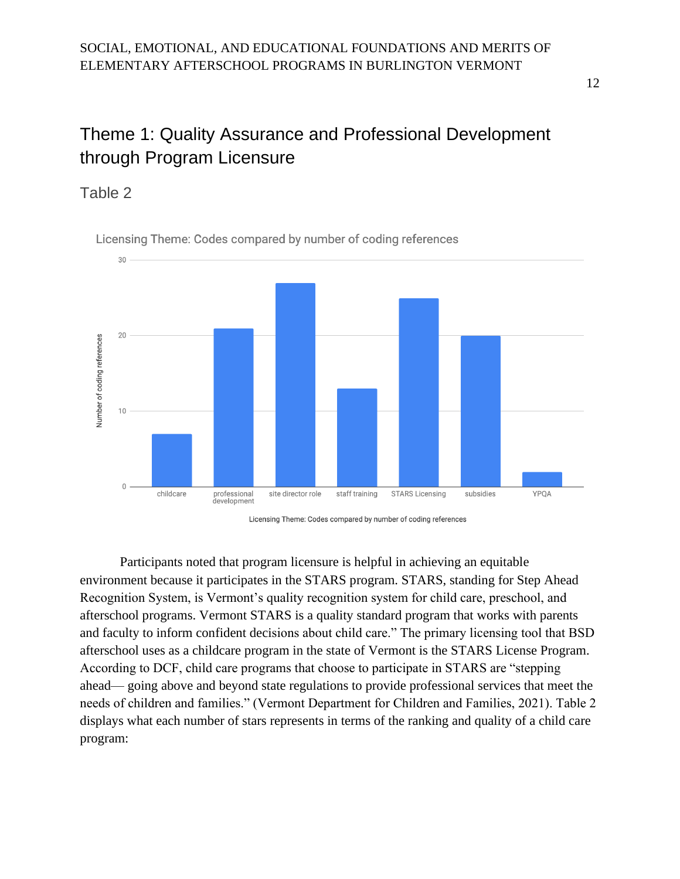## <span id="page-13-0"></span>Theme 1: Quality Assurance and Professional Development through Program Licensure

### <span id="page-13-1"></span>Table 2



Licensing Theme: Codes compared by number of coding references

Licensing Theme: Codes compared by number of coding references

Participants noted that program licensure is helpful in achieving an equitable environment because it participates in the STARS program. STARS, standing for Step Ahead Recognition System, is Vermont's quality recognition system for child care, preschool, and afterschool programs. Vermont STARS is a quality standard program that works with parents and faculty to inform confident decisions about child care." The primary licensing tool that BSD afterschool uses as a childcare program in the state of Vermont is the STARS License Program. According to DCF, child care programs that choose to participate in STARS are "stepping ahead— going above and beyond state regulations to provide professional services that meet the needs of children and families." (Vermont Department for Children and Families, 2021). Table 2 displays what each number of stars represents in terms of the ranking and quality of a child care program: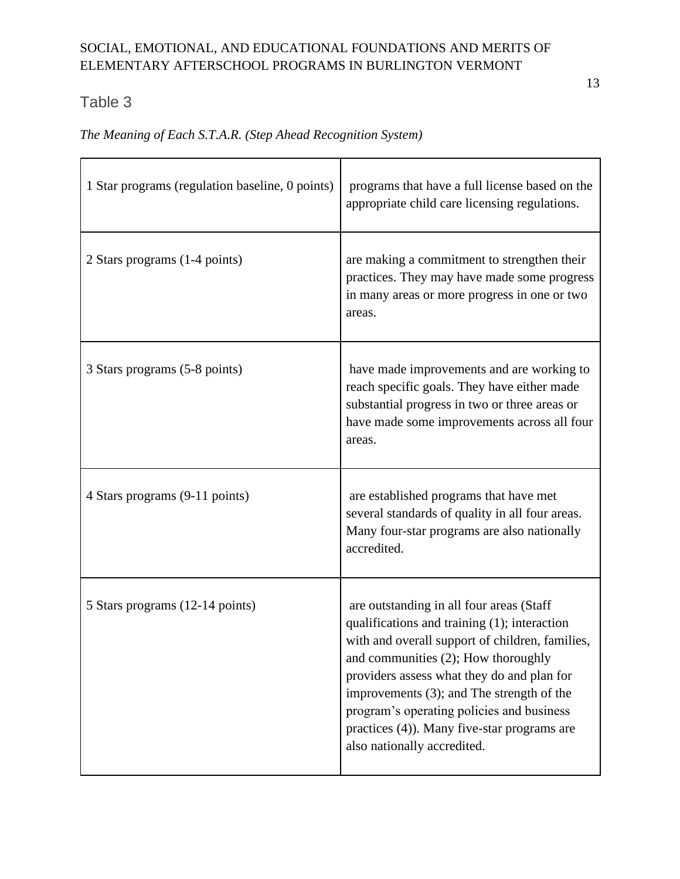## <span id="page-14-0"></span>Table 3

*The Meaning of Each S.T.A.R. (Step Ahead Recognition System)*

| 1 Star programs (regulation baseline, 0 points) | programs that have a full license based on the<br>appropriate child care licensing regulations.                                                                                                                                                                                                                                                                                                          |
|-------------------------------------------------|----------------------------------------------------------------------------------------------------------------------------------------------------------------------------------------------------------------------------------------------------------------------------------------------------------------------------------------------------------------------------------------------------------|
| 2 Stars programs (1-4 points)                   | are making a commitment to strengthen their<br>practices. They may have made some progress<br>in many areas or more progress in one or two<br>areas.                                                                                                                                                                                                                                                     |
| 3 Stars programs (5-8 points)                   | have made improvements and are working to<br>reach specific goals. They have either made<br>substantial progress in two or three areas or<br>have made some improvements across all four<br>areas.                                                                                                                                                                                                       |
| 4 Stars programs (9-11 points)                  | are established programs that have met<br>several standards of quality in all four areas.<br>Many four-star programs are also nationally<br>accredited.                                                                                                                                                                                                                                                  |
| 5 Stars programs (12-14 points)                 | are outstanding in all four areas (Staff<br>qualifications and training (1); interaction<br>with and overall support of children, families,<br>and communities (2); How thoroughly<br>providers assess what they do and plan for<br>improvements (3); and The strength of the<br>program's operating policies and business<br>practices (4)). Many five-star programs are<br>also nationally accredited. |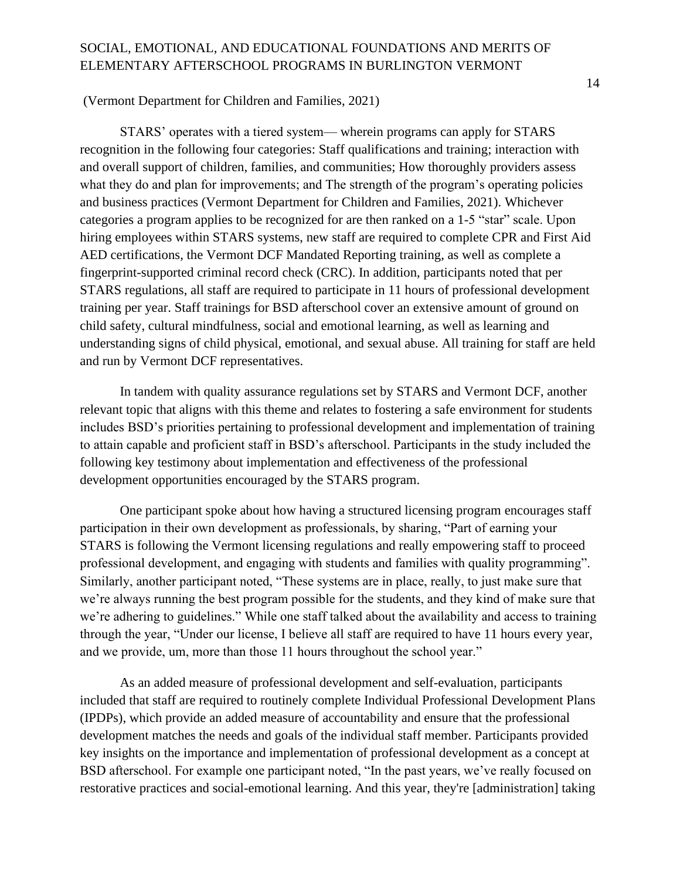#### (Vermont Department for Children and Families, 2021)

STARS' operates with a tiered system— wherein programs can apply for STARS recognition in the following four categories: Staff qualifications and training; interaction with and overall support of children, families, and communities; How thoroughly providers assess what they do and plan for improvements; and The strength of the program's operating policies and business practices (Vermont Department for Children and Families, 2021). Whichever categories a program applies to be recognized for are then ranked on a 1-5 "star" scale. Upon hiring employees within STARS systems, new staff are required to complete CPR and First Aid AED certifications, the Vermont DCF Mandated Reporting training, as well as complete a fingerprint-supported criminal record check (CRC). In addition, participants noted that per STARS regulations, all staff are required to participate in 11 hours of professional development training per year. Staff trainings for BSD afterschool cover an extensive amount of ground on child safety, cultural mindfulness, social and emotional learning, as well as learning and understanding signs of child physical, emotional, and sexual abuse. All training for staff are held and run by Vermont DCF representatives.

In tandem with quality assurance regulations set by STARS and Vermont DCF, another relevant topic that aligns with this theme and relates to fostering a safe environment for students includes BSD's priorities pertaining to professional development and implementation of training to attain capable and proficient staff in BSD's afterschool. Participants in the study included the following key testimony about implementation and effectiveness of the professional development opportunities encouraged by the STARS program.

One participant spoke about how having a structured licensing program encourages staff participation in their own development as professionals, by sharing, "Part of earning your STARS is following the Vermont licensing regulations and really empowering staff to proceed professional development, and engaging with students and families with quality programming". Similarly, another participant noted, "These systems are in place, really, to just make sure that we're always running the best program possible for the students, and they kind of make sure that we're adhering to guidelines." While one staff talked about the availability and access to training through the year, "Under our license, I believe all staff are required to have 11 hours every year, and we provide, um, more than those 11 hours throughout the school year."

As an added measure of professional development and self-evaluation, participants included that staff are required to routinely complete Individual Professional Development Plans (IPDPs), which provide an added measure of accountability and ensure that the professional development matches the needs and goals of the individual staff member. Participants provided key insights on the importance and implementation of professional development as a concept at BSD afterschool. For example one participant noted, "In the past years, we've really focused on restorative practices and social-emotional learning. And this year, they're [administration] taking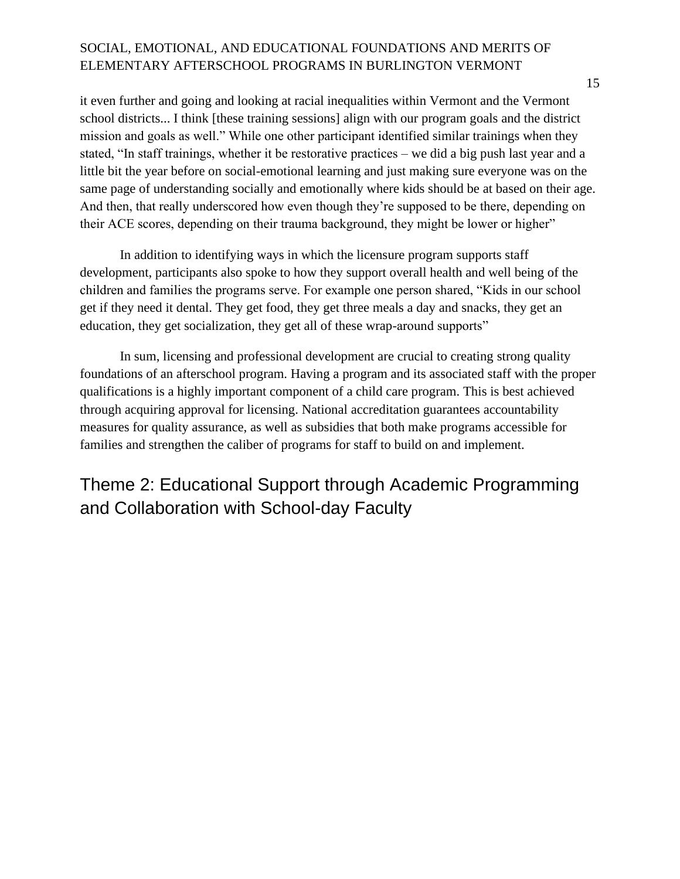it even further and going and looking at racial inequalities within Vermont and the Vermont school districts... I think [these training sessions] align with our program goals and the district mission and goals as well." While one other participant identified similar trainings when they stated, "In staff trainings, whether it be restorative practices – we did a big push last year and a little bit the year before on social-emotional learning and just making sure everyone was on the same page of understanding socially and emotionally where kids should be at based on their age. And then, that really underscored how even though they're supposed to be there, depending on their ACE scores, depending on their trauma background, they might be lower or higher"

In addition to identifying ways in which the licensure program supports staff development, participants also spoke to how they support overall health and well being of the children and families the programs serve. For example one person shared, "Kids in our school get if they need it dental. They get food, they get three meals a day and snacks, they get an education, they get socialization, they get all of these wrap-around supports"

In sum, licensing and professional development are crucial to creating strong quality foundations of an afterschool program. Having a program and its associated staff with the proper qualifications is a highly important component of a child care program. This is best achieved through acquiring approval for licensing. National accreditation guarantees accountability measures for quality assurance, as well as subsidies that both make programs accessible for families and strengthen the caliber of programs for staff to build on and implement.

## <span id="page-16-0"></span>Theme 2: Educational Support through Academic Programming and Collaboration with School-day Faculty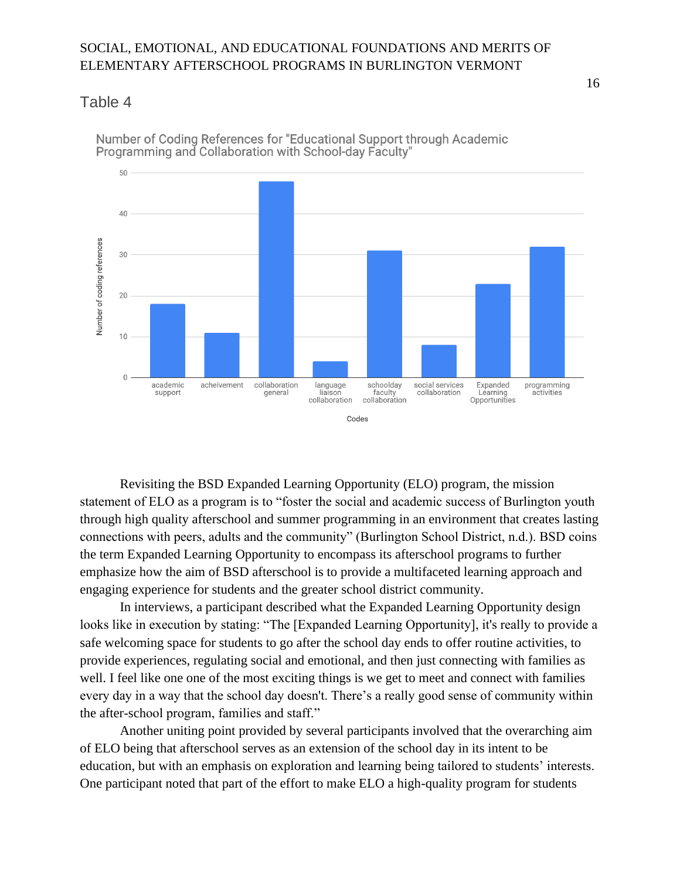#### <span id="page-17-0"></span>Table 4



Number of Coding References for "Educational Support through Academic Programming and Collaboration with School-day Faculty"

Revisiting the BSD Expanded Learning Opportunity (ELO) program, the mission statement of ELO as a program is to "foster the social and academic success of Burlington youth through high quality afterschool and summer programming in an environment that creates lasting connections with peers, adults and the community" (Burlington School District, n.d.). BSD coins the term Expanded Learning Opportunity to encompass its afterschool programs to further emphasize how the aim of BSD afterschool is to provide a multifaceted learning approach and engaging experience for students and the greater school district community.

In interviews, a participant described what the Expanded Learning Opportunity design looks like in execution by stating: "The [Expanded Learning Opportunity], it's really to provide a safe welcoming space for students to go after the school day ends to offer routine activities, to provide experiences, regulating social and emotional, and then just connecting with families as well. I feel like one one of the most exciting things is we get to meet and connect with families every day in a way that the school day doesn't. There's a really good sense of community within the after-school program, families and staff."

Another uniting point provided by several participants involved that the overarching aim of ELO being that afterschool serves as an extension of the school day in its intent to be education, but with an emphasis on exploration and learning being tailored to students' interests. One participant noted that part of the effort to make ELO a high-quality program for students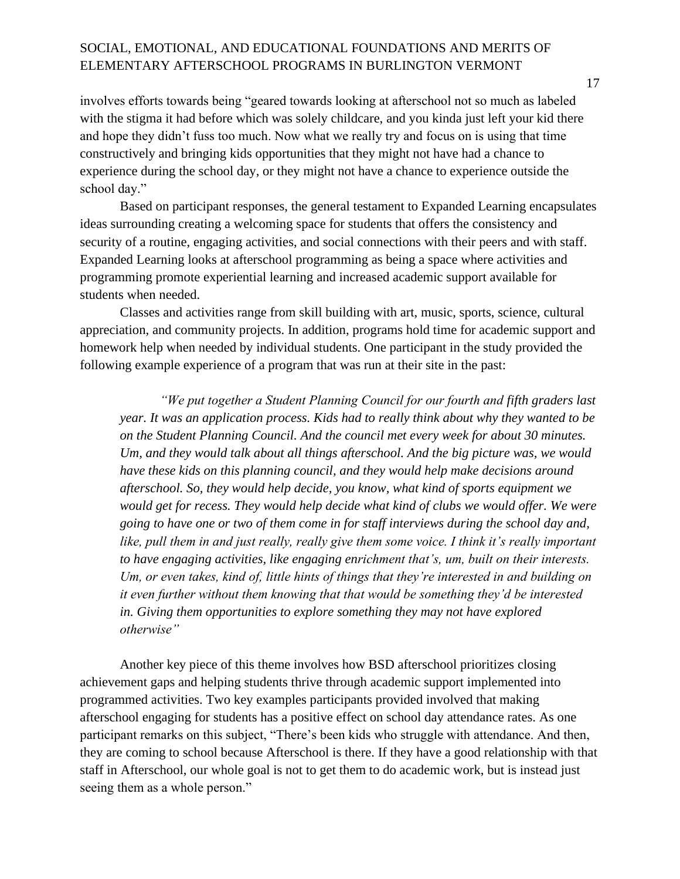involves efforts towards being "geared towards looking at afterschool not so much as labeled with the stigma it had before which was solely childcare, and you kinda just left your kid there and hope they didn't fuss too much. Now what we really try and focus on is using that time constructively and bringing kids opportunities that they might not have had a chance to experience during the school day, or they might not have a chance to experience outside the school day."

Based on participant responses, the general testament to Expanded Learning encapsulates ideas surrounding creating a welcoming space for students that offers the consistency and security of a routine, engaging activities, and social connections with their peers and with staff. Expanded Learning looks at afterschool programming as being a space where activities and programming promote experiential learning and increased academic support available for students when needed.

Classes and activities range from skill building with art, music, sports, science, cultural appreciation, and community projects. In addition, programs hold time for academic support and homework help when needed by individual students. One participant in the study provided the following example experience of a program that was run at their site in the past:

*"We put together a Student Planning Council for our fourth and fifth graders last year. It was an application process. Kids had to really think about why they wanted to be on the Student Planning Council. And the council met every week for about 30 minutes. Um, and they would talk about all things afterschool. And the big picture was, we would have these kids on this planning council, and they would help make decisions around afterschool. So, they would help decide, you know, what kind of sports equipment we would get for recess. They would help decide what kind of clubs we would offer. We were going to have one or two of them come in for staff interviews during the school day and, like, pull them in and just really, really give them some voice. I think it's really important to have engaging activities, like engaging enrichment that's, um, built on their interests. Um, or even takes, kind of, little hints of things that they're interested in and building on it even further without them knowing that that would be something they'd be interested in. Giving them opportunities to explore something they may not have explored otherwise"*

Another key piece of this theme involves how BSD afterschool prioritizes closing achievement gaps and helping students thrive through academic support implemented into programmed activities. Two key examples participants provided involved that making afterschool engaging for students has a positive effect on school day attendance rates. As one participant remarks on this subject, "There's been kids who struggle with attendance. And then, they are coming to school because Afterschool is there. If they have a good relationship with that staff in Afterschool, our whole goal is not to get them to do academic work, but is instead just seeing them as a whole person."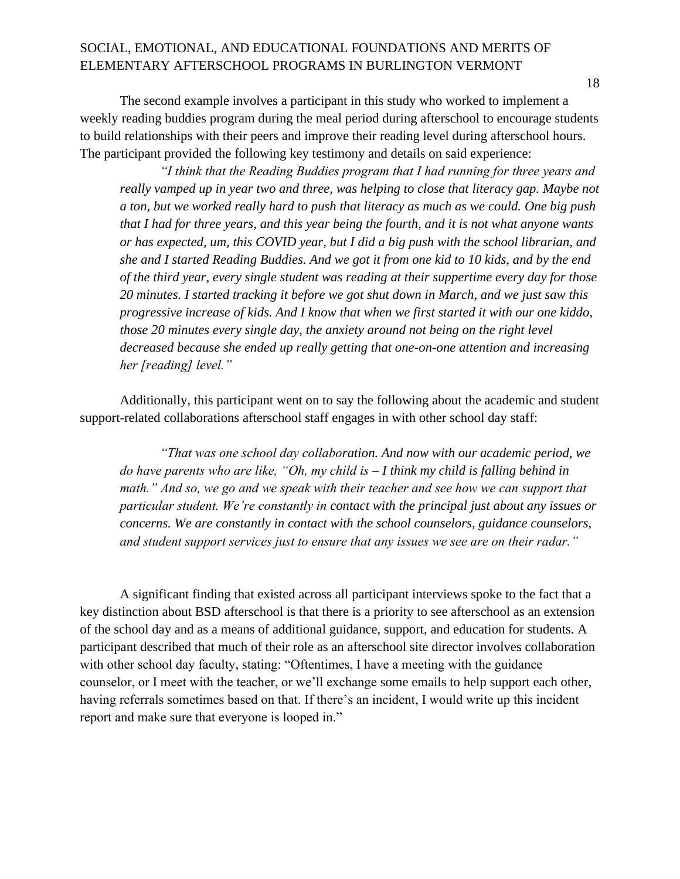The second example involves a participant in this study who worked to implement a weekly reading buddies program during the meal period during afterschool to encourage students to build relationships with their peers and improve their reading level during afterschool hours. The participant provided the following key testimony and details on said experience:

*"I think that the Reading Buddies program that I had running for three years and really vamped up in year two and three, was helping to close that literacy gap. Maybe not a ton, but we worked really hard to push that literacy as much as we could. One big push that I had for three years, and this year being the fourth, and it is not what anyone wants or has expected, um, this COVID year, but I did a big push with the school librarian, and she and I started Reading Buddies. And we got it from one kid to 10 kids, and by the end of the third year, every single student was reading at their suppertime every day for those 20 minutes. I started tracking it before we got shut down in March, and we just saw this progressive increase of kids. And I know that when we first started it with our one kiddo, those 20 minutes every single day, the anxiety around not being on the right level decreased because she ended up really getting that one-on-one attention and increasing her [reading] level."*

Additionally, this participant went on to say the following about the academic and student support-related collaborations afterschool staff engages in with other school day staff:

*"That was one school day collaboration. And now with our academic period, we do have parents who are like, "Oh, my child is – I think my child is falling behind in*  math." And so, we go and we speak with their teacher and see how we can support that *particular student. We're constantly in contact with the principal just about any issues or concerns. We are constantly in contact with the school counselors, guidance counselors, and student support services just to ensure that any issues we see are on their radar."*

A significant finding that existed across all participant interviews spoke to the fact that a key distinction about BSD afterschool is that there is a priority to see afterschool as an extension of the school day and as a means of additional guidance, support, and education for students. A participant described that much of their role as an afterschool site director involves collaboration with other school day faculty, stating: "Oftentimes, I have a meeting with the guidance counselor, or I meet with the teacher, or we'll exchange some emails to help support each other, having referrals sometimes based on that. If there's an incident, I would write up this incident report and make sure that everyone is looped in."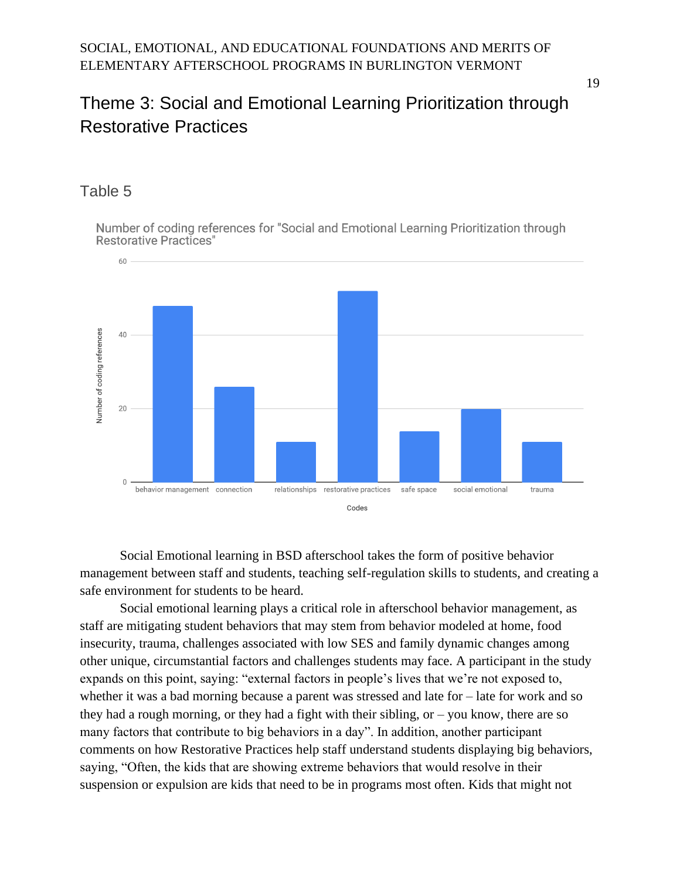## <span id="page-20-0"></span>Theme 3: Social and Emotional Learning Prioritization through Restorative Practices

#### <span id="page-20-1"></span>Table 5

Number of coding references for "Social and Emotional Learning Prioritization through **Restorative Practices"** 



Social Emotional learning in BSD afterschool takes the form of positive behavior management between staff and students, teaching self-regulation skills to students, and creating a safe environment for students to be heard.

Social emotional learning plays a critical role in afterschool behavior management, as staff are mitigating student behaviors that may stem from behavior modeled at home, food insecurity, trauma, challenges associated with low SES and family dynamic changes among other unique, circumstantial factors and challenges students may face. A participant in the study expands on this point, saying: "external factors in people's lives that we're not exposed to, whether it was a bad morning because a parent was stressed and late for – late for work and so they had a rough morning, or they had a fight with their sibling, or – you know, there are so many factors that contribute to big behaviors in a day". In addition, another participant comments on how Restorative Practices help staff understand students displaying big behaviors, saying, "Often, the kids that are showing extreme behaviors that would resolve in their suspension or expulsion are kids that need to be in programs most often. Kids that might not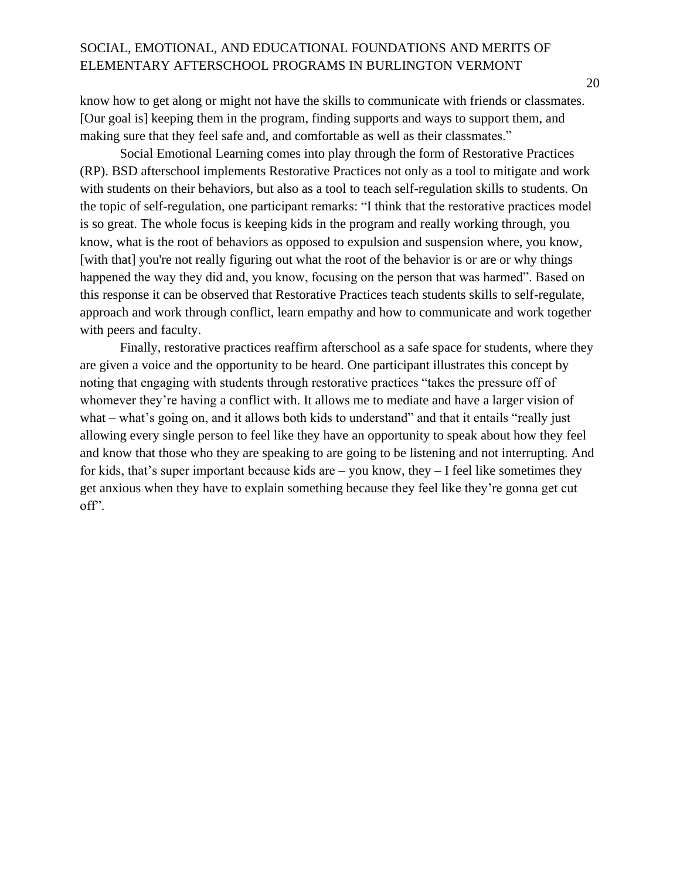know how to get along or might not have the skills to communicate with friends or classmates. [Our goal is] keeping them in the program, finding supports and ways to support them, and making sure that they feel safe and, and comfortable as well as their classmates."

Social Emotional Learning comes into play through the form of Restorative Practices (RP). BSD afterschool implements Restorative Practices not only as a tool to mitigate and work with students on their behaviors, but also as a tool to teach self-regulation skills to students. On the topic of self-regulation, one participant remarks: "I think that the restorative practices model is so great. The whole focus is keeping kids in the program and really working through, you know, what is the root of behaviors as opposed to expulsion and suspension where, you know, [with that] you're not really figuring out what the root of the behavior is or are or why things happened the way they did and, you know, focusing on the person that was harmed". Based on this response it can be observed that Restorative Practices teach students skills to self-regulate, approach and work through conflict, learn empathy and how to communicate and work together with peers and faculty.

Finally, restorative practices reaffirm afterschool as a safe space for students, where they are given a voice and the opportunity to be heard. One participant illustrates this concept by noting that engaging with students through restorative practices "takes the pressure off of whomever they're having a conflict with. It allows me to mediate and have a larger vision of what – what's going on, and it allows both kids to understand" and that it entails "really just allowing every single person to feel like they have an opportunity to speak about how they feel and know that those who they are speaking to are going to be listening and not interrupting. And for kids, that's super important because kids are – you know, they  $-$  I feel like sometimes they get anxious when they have to explain something because they feel like they're gonna get cut off".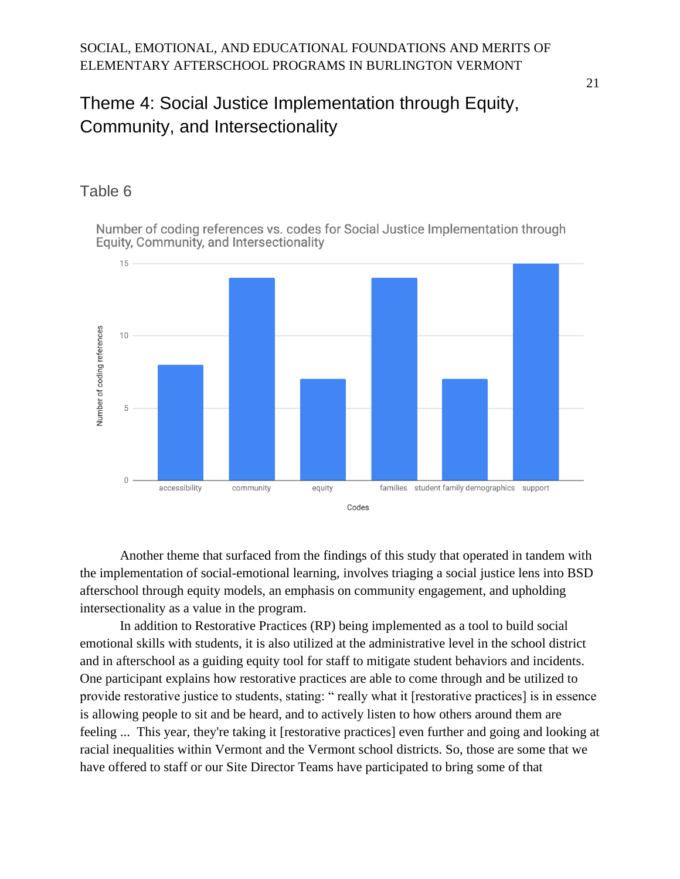## <span id="page-22-0"></span>Theme 4: Social Justice Implementation through Equity, Community, and Intersectionality

### <span id="page-22-1"></span>Table 6

Number of coding references vs. codes for Social Justice Implementation through Equity, Community, and Intersectionality



Another theme that surfaced from the findings of this study that operated in tandem with the implementation of social-emotional learning, involves triaging a social justice lens into BSD afterschool through equity models, an emphasis on community engagement, and upholding intersectionality as a value in the program.

In addition to Restorative Practices (RP) being implemented as a tool to build social emotional skills with students, it is also utilized at the administrative level in the school district and in afterschool as a guiding equity tool for staff to mitigate student behaviors and incidents. One participant explains how restorative practices are able to come through and be utilized to provide restorative justice to students, stating: " really what it [restorative practices] is in essence is allowing people to sit and be heard, and to actively listen to how others around them are feeling ... This year, they're taking it [restorative practices] even further and going and looking at racial inequalities within Vermont and the Vermont school districts. So, those are some that we have offered to staff or our Site Director Teams have participated to bring some of that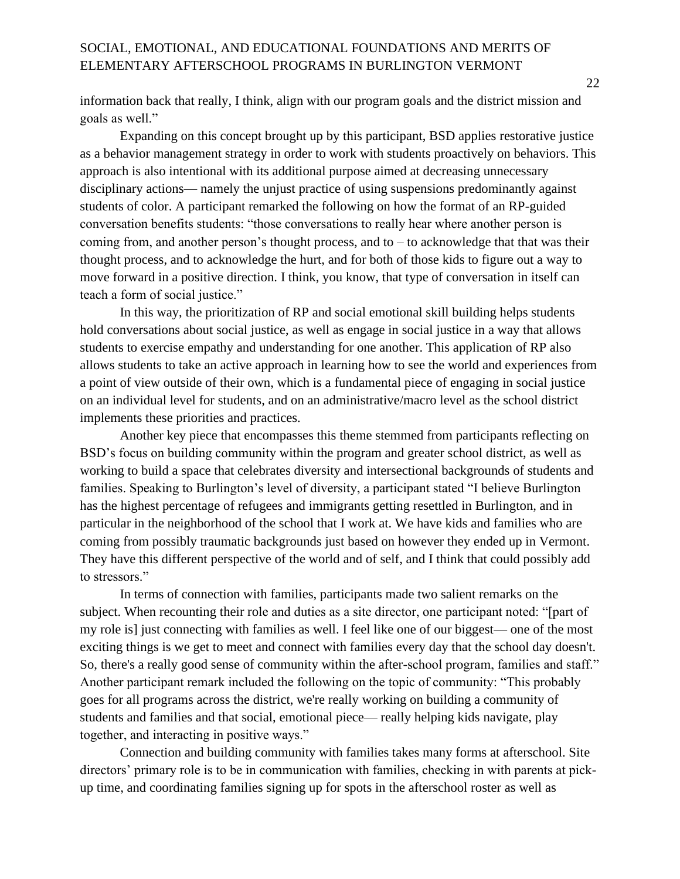information back that really, I think, align with our program goals and the district mission and goals as well."

Expanding on this concept brought up by this participant, BSD applies restorative justice as a behavior management strategy in order to work with students proactively on behaviors. This approach is also intentional with its additional purpose aimed at decreasing unnecessary disciplinary actions— namely the unjust practice of using suspensions predominantly against students of color. A participant remarked the following on how the format of an RP-guided conversation benefits students: "those conversations to really hear where another person is coming from, and another person's thought process, and to – to acknowledge that that was their thought process, and to acknowledge the hurt, and for both of those kids to figure out a way to move forward in a positive direction. I think, you know, that type of conversation in itself can teach a form of social justice."

In this way, the prioritization of RP and social emotional skill building helps students hold conversations about social justice, as well as engage in social justice in a way that allows students to exercise empathy and understanding for one another. This application of RP also allows students to take an active approach in learning how to see the world and experiences from a point of view outside of their own, which is a fundamental piece of engaging in social justice on an individual level for students, and on an administrative/macro level as the school district implements these priorities and practices.

Another key piece that encompasses this theme stemmed from participants reflecting on BSD's focus on building community within the program and greater school district, as well as working to build a space that celebrates diversity and intersectional backgrounds of students and families. Speaking to Burlington's level of diversity, a participant stated "I believe Burlington has the highest percentage of refugees and immigrants getting resettled in Burlington, and in particular in the neighborhood of the school that I work at. We have kids and families who are coming from possibly traumatic backgrounds just based on however they ended up in Vermont. They have this different perspective of the world and of self, and I think that could possibly add to stressors."

In terms of connection with families, participants made two salient remarks on the subject. When recounting their role and duties as a site director, one participant noted: "[part of my role is] just connecting with families as well. I feel like one of our biggest— one of the most exciting things is we get to meet and connect with families every day that the school day doesn't. So, there's a really good sense of community within the after-school program, families and staff." Another participant remark included the following on the topic of community: "This probably goes for all programs across the district, we're really working on building a community of students and families and that social, emotional piece— really helping kids navigate, play together, and interacting in positive ways."

Connection and building community with families takes many forms at afterschool. Site directors' primary role is to be in communication with families, checking in with parents at pickup time, and coordinating families signing up for spots in the afterschool roster as well as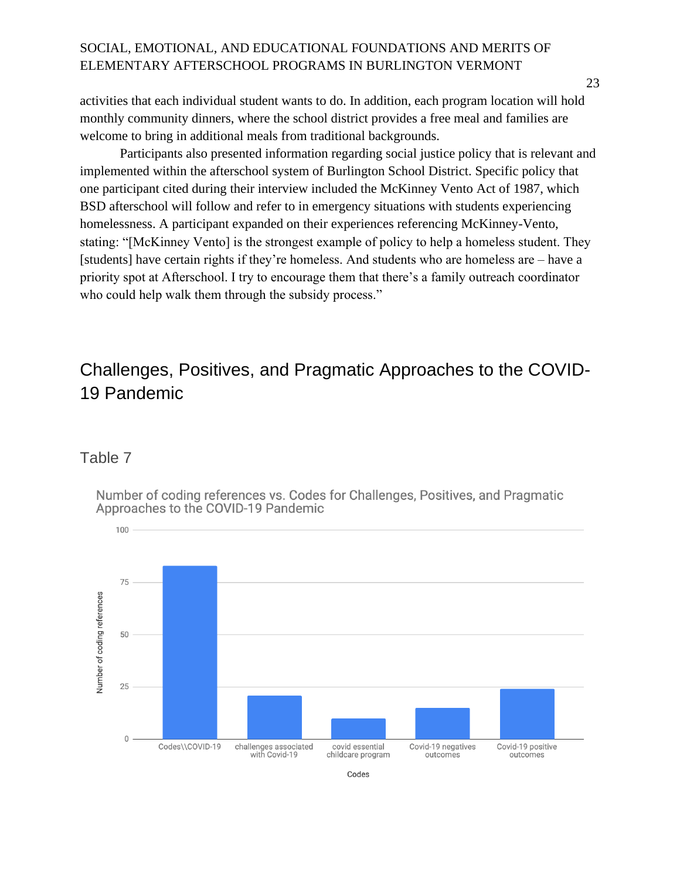activities that each individual student wants to do. In addition, each program location will hold monthly community dinners, where the school district provides a free meal and families are welcome to bring in additional meals from traditional backgrounds.

Participants also presented information regarding social justice policy that is relevant and implemented within the afterschool system of Burlington School District. Specific policy that one participant cited during their interview included the McKinney Vento Act of 1987, which BSD afterschool will follow and refer to in emergency situations with students experiencing homelessness. A participant expanded on their experiences referencing McKinney-Vento, stating: "[McKinney Vento] is the strongest example of policy to help a homeless student. They [students] have certain rights if they're homeless. And students who are homeless are – have a priority spot at Afterschool. I try to encourage them that there's a family outreach coordinator who could help walk them through the subsidy process."

## <span id="page-24-0"></span>Challenges, Positives, and Pragmatic Approaches to the COVID-19 Pandemic

#### <span id="page-24-1"></span>Table 7

Number of coding references vs. Codes for Challenges, Positives, and Pragmatic Approaches to the COVID-19 Pandemic

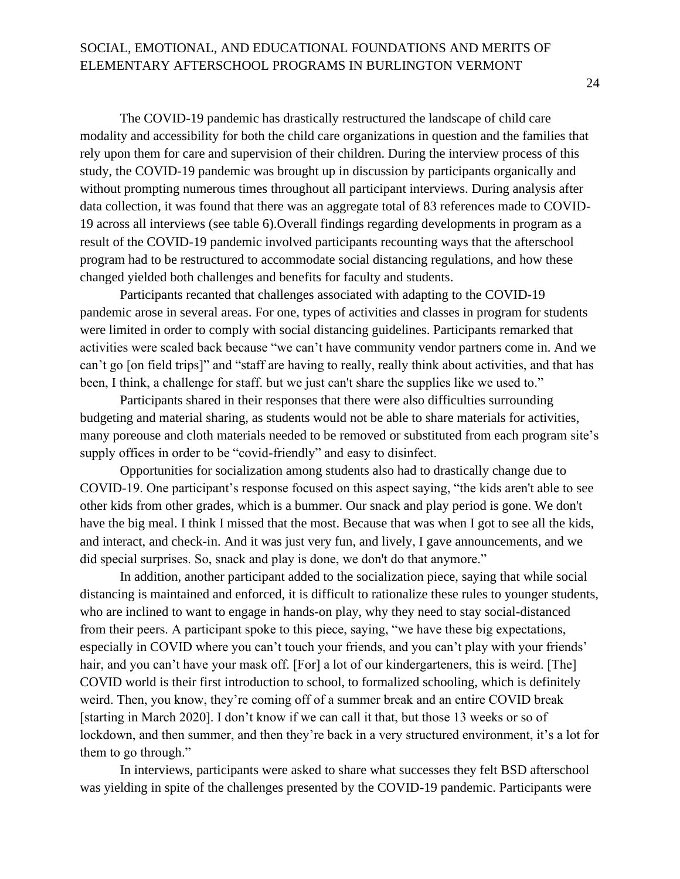The COVID-19 pandemic has drastically restructured the landscape of child care modality and accessibility for both the child care organizations in question and the families that rely upon them for care and supervision of their children. During the interview process of this study, the COVID-19 pandemic was brought up in discussion by participants organically and without prompting numerous times throughout all participant interviews. During analysis after data collection, it was found that there was an aggregate total of 83 references made to COVID-19 across all interviews (see table 6).Overall findings regarding developments in program as a result of the COVID-19 pandemic involved participants recounting ways that the afterschool program had to be restructured to accommodate social distancing regulations, and how these changed yielded both challenges and benefits for faculty and students.

Participants recanted that challenges associated with adapting to the COVID-19 pandemic arose in several areas. For one, types of activities and classes in program for students were limited in order to comply with social distancing guidelines. Participants remarked that activities were scaled back because "we can't have community vendor partners come in. And we can't go [on field trips]" and "staff are having to really, really think about activities, and that has been, I think, a challenge for staff. but we just can't share the supplies like we used to."

Participants shared in their responses that there were also difficulties surrounding budgeting and material sharing, as students would not be able to share materials for activities, many poreouse and cloth materials needed to be removed or substituted from each program site's supply offices in order to be "covid-friendly" and easy to disinfect.

Opportunities for socialization among students also had to drastically change due to COVID-19. One participant's response focused on this aspect saying, "the kids aren't able to see other kids from other grades, which is a bummer. Our snack and play period is gone. We don't have the big meal. I think I missed that the most. Because that was when I got to see all the kids, and interact, and check-in. And it was just very fun, and lively, I gave announcements, and we did special surprises. So, snack and play is done, we don't do that anymore."

In addition, another participant added to the socialization piece, saying that while social distancing is maintained and enforced, it is difficult to rationalize these rules to younger students, who are inclined to want to engage in hands-on play, why they need to stay social-distanced from their peers. A participant spoke to this piece, saying, "we have these big expectations, especially in COVID where you can't touch your friends, and you can't play with your friends' hair, and you can't have your mask off. [For] a lot of our kindergarteners, this is weird. [The] COVID world is their first introduction to school, to formalized schooling, which is definitely weird. Then, you know, they're coming off of a summer break and an entire COVID break [starting in March 2020]. I don't know if we can call it that, but those 13 weeks or so of lockdown, and then summer, and then they're back in a very structured environment, it's a lot for them to go through."

In interviews, participants were asked to share what successes they felt BSD afterschool was yielding in spite of the challenges presented by the COVID-19 pandemic. Participants were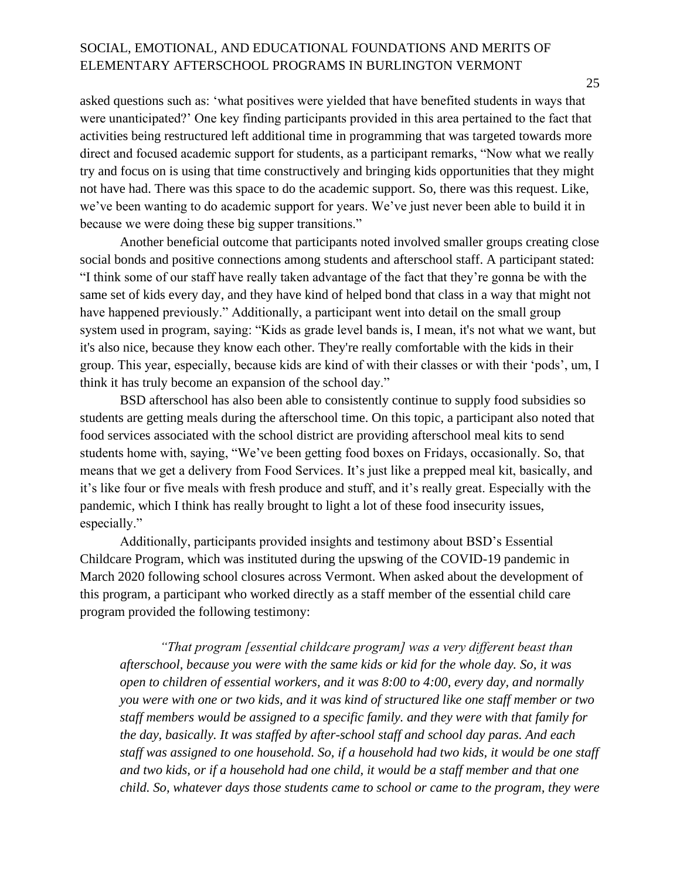asked questions such as: 'what positives were yielded that have benefited students in ways that were unanticipated?' One key finding participants provided in this area pertained to the fact that activities being restructured left additional time in programming that was targeted towards more direct and focused academic support for students, as a participant remarks, "Now what we really try and focus on is using that time constructively and bringing kids opportunities that they might not have had. There was this space to do the academic support. So, there was this request. Like, we've been wanting to do academic support for years. We've just never been able to build it in because we were doing these big supper transitions."

Another beneficial outcome that participants noted involved smaller groups creating close social bonds and positive connections among students and afterschool staff. A participant stated: "I think some of our staff have really taken advantage of the fact that they're gonna be with the same set of kids every day, and they have kind of helped bond that class in a way that might not have happened previously." Additionally, a participant went into detail on the small group system used in program, saying: "Kids as grade level bands is, I mean, it's not what we want, but it's also nice, because they know each other. They're really comfortable with the kids in their group. This year, especially, because kids are kind of with their classes or with their 'pods', um, I think it has truly become an expansion of the school day."

BSD afterschool has also been able to consistently continue to supply food subsidies so students are getting meals during the afterschool time. On this topic, a participant also noted that food services associated with the school district are providing afterschool meal kits to send students home with, saying, "We've been getting food boxes on Fridays, occasionally. So, that means that we get a delivery from Food Services. It's just like a prepped meal kit, basically, and it's like four or five meals with fresh produce and stuff, and it's really great. Especially with the pandemic, which I think has really brought to light a lot of these food insecurity issues, especially."

Additionally, participants provided insights and testimony about BSD's Essential Childcare Program, which was instituted during the upswing of the COVID-19 pandemic in March 2020 following school closures across Vermont. When asked about the development of this program, a participant who worked directly as a staff member of the essential child care program provided the following testimony:

*"That program [essential childcare program] was a very different beast than afterschool, because you were with the same kids or kid for the whole day. So, it was open to children of essential workers, and it was 8:00 to 4:00, every day, and normally you were with one or two kids, and it was kind of structured like one staff member or two staff members would be assigned to a specific family. and they were with that family for the day, basically. It was staffed by after-school staff and school day paras. And each staff was assigned to one household. So, if a household had two kids, it would be one staff and two kids, or if a household had one child, it would be a staff member and that one child. So, whatever days those students came to school or came to the program, they were*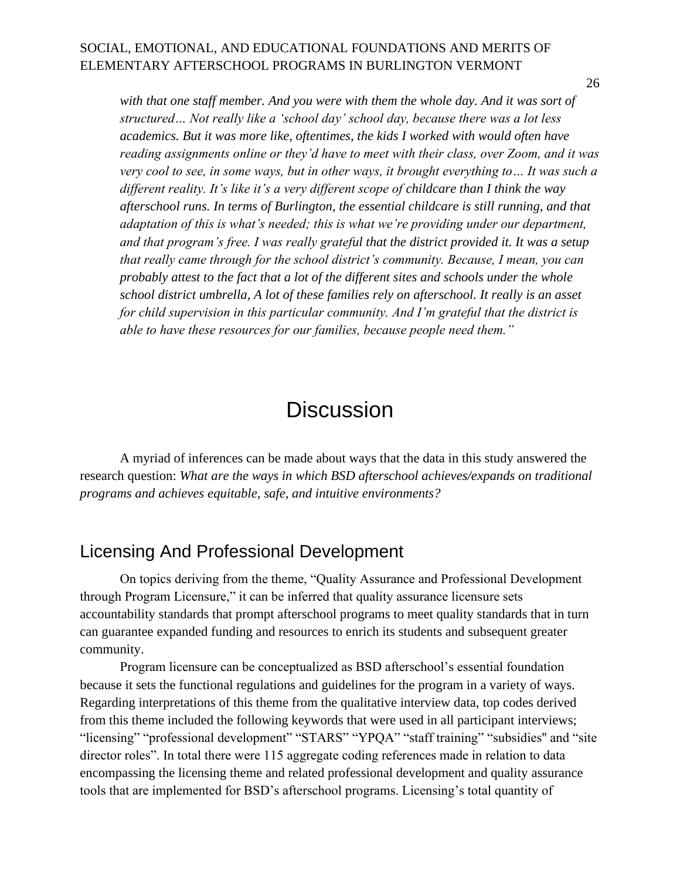26

with that one staff member. And you were with them the whole day. And it was sort of *structured… Not really like a 'school day' school day, because there was a lot less academics. But it was more like, oftentimes, the kids I worked with would often have reading assignments online or they'd have to meet with their class, over Zoom, and it was very cool to see, in some ways, but in other ways, it brought everything to… It was such a different reality. It's like it's a very different scope of childcare than I think the way afterschool runs. In terms of Burlington, the essential childcare is still running, and that adaptation of this is what's needed; this is what we're providing under our department, and that program's free. I was really grateful that the district provided it. It was a setup that really came through for the school district's community. Because, I mean, you can probably attest to the fact that a lot of the different sites and schools under the whole school district umbrella, A lot of these families rely on afterschool. It really is an asset for child supervision in this particular community. And I'm grateful that the district is able to have these resources for our families, because people need them."*

## **Discussion**

<span id="page-27-0"></span>A myriad of inferences can be made about ways that the data in this study answered the research question: *What are the ways in which BSD afterschool achieves/expands on traditional programs and achieves equitable, safe, and intuitive environments?*

### <span id="page-27-1"></span>Licensing And Professional Development

On topics deriving from the theme, "Quality Assurance and Professional Development through Program Licensure," it can be inferred that quality assurance licensure sets accountability standards that prompt afterschool programs to meet quality standards that in turn can guarantee expanded funding and resources to enrich its students and subsequent greater community.

Program licensure can be conceptualized as BSD afterschool's essential foundation because it sets the functional regulations and guidelines for the program in a variety of ways. Regarding interpretations of this theme from the qualitative interview data, top codes derived from this theme included the following keywords that were used in all participant interviews; "licensing" "professional development" "STARS" "YPQA" "staff training" "subsidies" and "site director roles". In total there were 115 aggregate coding references made in relation to data encompassing the licensing theme and related professional development and quality assurance tools that are implemented for BSD's afterschool programs. Licensing's total quantity of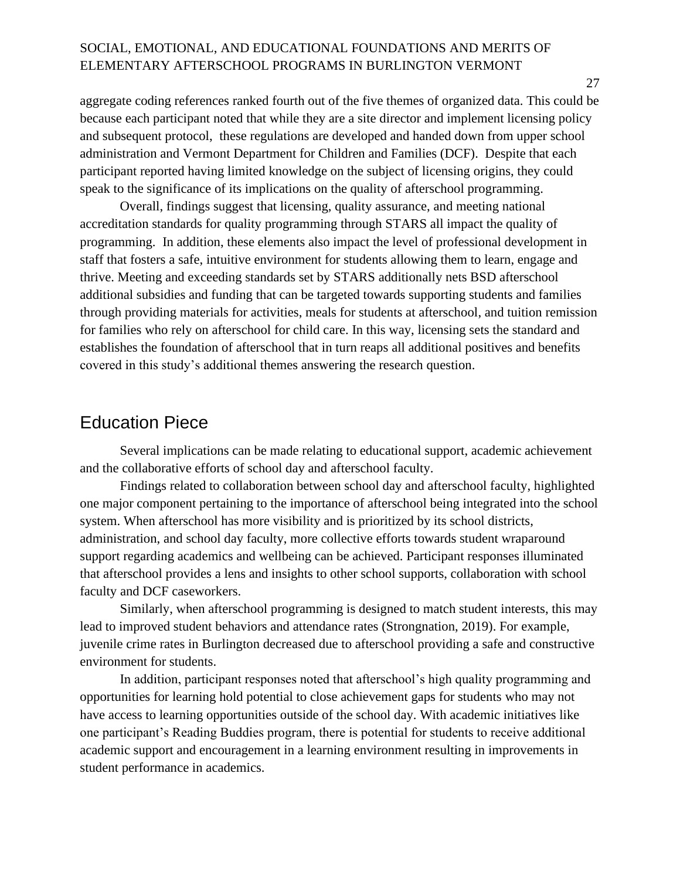aggregate coding references ranked fourth out of the five themes of organized data. This could be because each participant noted that while they are a site director and implement licensing policy and subsequent protocol, these regulations are developed and handed down from upper school administration and Vermont Department for Children and Families (DCF). Despite that each participant reported having limited knowledge on the subject of licensing origins, they could speak to the significance of its implications on the quality of afterschool programming.

Overall, findings suggest that licensing, quality assurance, and meeting national accreditation standards for quality programming through STARS all impact the quality of programming. In addition, these elements also impact the level of professional development in staff that fosters a safe, intuitive environment for students allowing them to learn, engage and thrive. Meeting and exceeding standards set by STARS additionally nets BSD afterschool additional subsidies and funding that can be targeted towards supporting students and families through providing materials for activities, meals for students at afterschool, and tuition remission for families who rely on afterschool for child care. In this way, licensing sets the standard and establishes the foundation of afterschool that in turn reaps all additional positives and benefits covered in this study's additional themes answering the research question.

### <span id="page-28-0"></span>Education Piece

Several implications can be made relating to educational support, academic achievement and the collaborative efforts of school day and afterschool faculty.

Findings related to collaboration between school day and afterschool faculty, highlighted one major component pertaining to the importance of afterschool being integrated into the school system. When afterschool has more visibility and is prioritized by its school districts, administration, and school day faculty, more collective efforts towards student wraparound support regarding academics and wellbeing can be achieved. Participant responses illuminated that afterschool provides a lens and insights to other school supports, collaboration with school faculty and DCF caseworkers.

Similarly, when afterschool programming is designed to match student interests, this may lead to improved student behaviors and attendance rates (Strongnation, 2019). For example, juvenile crime rates in Burlington decreased due to afterschool providing a safe and constructive environment for students.

In addition, participant responses noted that afterschool's high quality programming and opportunities for learning hold potential to close achievement gaps for students who may not have access to learning opportunities outside of the school day. With academic initiatives like one participant's Reading Buddies program, there is potential for students to receive additional academic support and encouragement in a learning environment resulting in improvements in student performance in academics.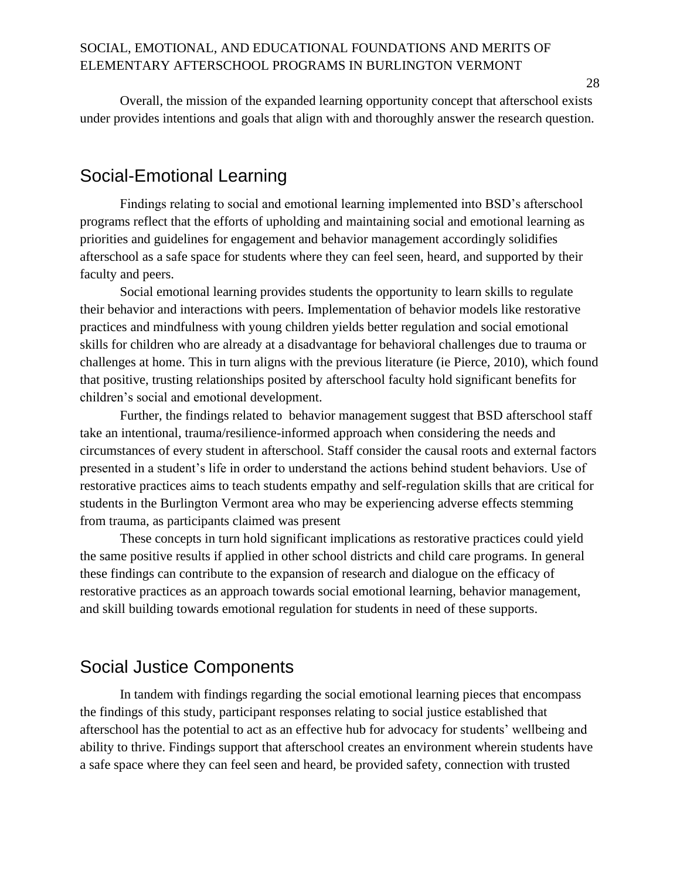Overall, the mission of the expanded learning opportunity concept that afterschool exists under provides intentions and goals that align with and thoroughly answer the research question.

### <span id="page-29-0"></span>Social-Emotional Learning

Findings relating to social and emotional learning implemented into BSD's afterschool programs reflect that the efforts of upholding and maintaining social and emotional learning as priorities and guidelines for engagement and behavior management accordingly solidifies afterschool as a safe space for students where they can feel seen, heard, and supported by their faculty and peers.

Social emotional learning provides students the opportunity to learn skills to regulate their behavior and interactions with peers. Implementation of behavior models like restorative practices and mindfulness with young children yields better regulation and social emotional skills for children who are already at a disadvantage for behavioral challenges due to trauma or challenges at home. This in turn aligns with the previous literature (ie Pierce, 2010), which found that positive, trusting relationships posited by afterschool faculty hold significant benefits for children's social and emotional development.

Further, the findings related to behavior management suggest that BSD afterschool staff take an intentional, trauma/resilience-informed approach when considering the needs and circumstances of every student in afterschool. Staff consider the causal roots and external factors presented in a student's life in order to understand the actions behind student behaviors. Use of restorative practices aims to teach students empathy and self-regulation skills that are critical for students in the Burlington Vermont area who may be experiencing adverse effects stemming from trauma, as participants claimed was present

These concepts in turn hold significant implications as restorative practices could yield the same positive results if applied in other school districts and child care programs. In general these findings can contribute to the expansion of research and dialogue on the efficacy of restorative practices as an approach towards social emotional learning, behavior management, and skill building towards emotional regulation for students in need of these supports.

### <span id="page-29-1"></span>Social Justice Components

In tandem with findings regarding the social emotional learning pieces that encompass the findings of this study, participant responses relating to social justice established that afterschool has the potential to act as an effective hub for advocacy for students' wellbeing and ability to thrive. Findings support that afterschool creates an environment wherein students have a safe space where they can feel seen and heard, be provided safety, connection with trusted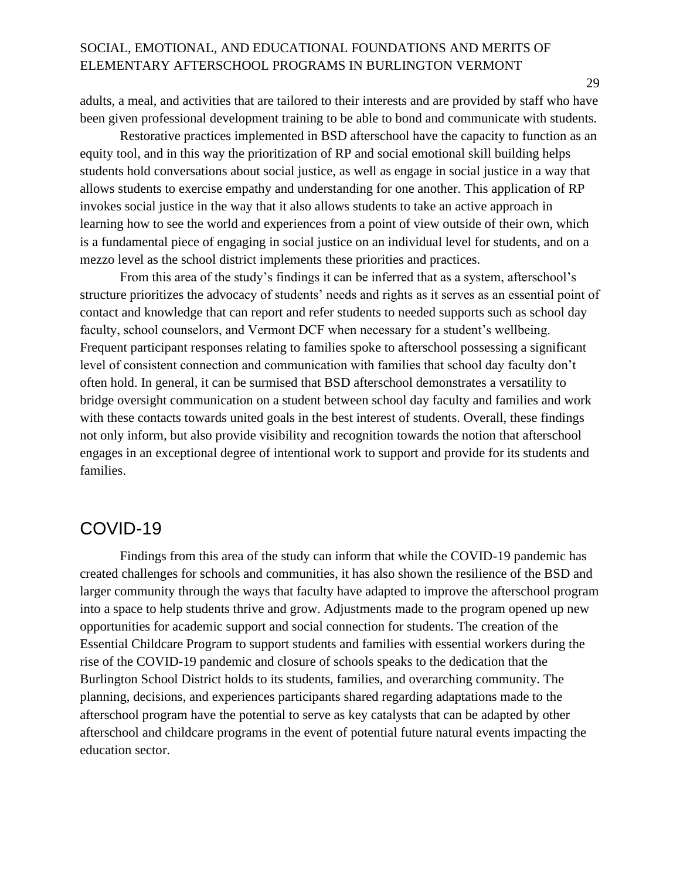adults, a meal, and activities that are tailored to their interests and are provided by staff who have been given professional development training to be able to bond and communicate with students.

Restorative practices implemented in BSD afterschool have the capacity to function as an equity tool, and in this way the prioritization of RP and social emotional skill building helps students hold conversations about social justice, as well as engage in social justice in a way that allows students to exercise empathy and understanding for one another. This application of RP invokes social justice in the way that it also allows students to take an active approach in learning how to see the world and experiences from a point of view outside of their own, which is a fundamental piece of engaging in social justice on an individual level for students, and on a mezzo level as the school district implements these priorities and practices.

From this area of the study's findings it can be inferred that as a system, afterschool's structure prioritizes the advocacy of students' needs and rights as it serves as an essential point of contact and knowledge that can report and refer students to needed supports such as school day faculty, school counselors, and Vermont DCF when necessary for a student's wellbeing. Frequent participant responses relating to families spoke to afterschool possessing a significant level of consistent connection and communication with families that school day faculty don't often hold. In general, it can be surmised that BSD afterschool demonstrates a versatility to bridge oversight communication on a student between school day faculty and families and work with these contacts towards united goals in the best interest of students. Overall, these findings not only inform, but also provide visibility and recognition towards the notion that afterschool engages in an exceptional degree of intentional work to support and provide for its students and families.

### <span id="page-30-0"></span>COVID-19

Findings from this area of the study can inform that while the COVID-19 pandemic has created challenges for schools and communities, it has also shown the resilience of the BSD and larger community through the ways that faculty have adapted to improve the afterschool program into a space to help students thrive and grow. Adjustments made to the program opened up new opportunities for academic support and social connection for students. The creation of the Essential Childcare Program to support students and families with essential workers during the rise of the COVID-19 pandemic and closure of schools speaks to the dedication that the Burlington School District holds to its students, families, and overarching community. The planning, decisions, and experiences participants shared regarding adaptations made to the afterschool program have the potential to serve as key catalysts that can be adapted by other afterschool and childcare programs in the event of potential future natural events impacting the education sector.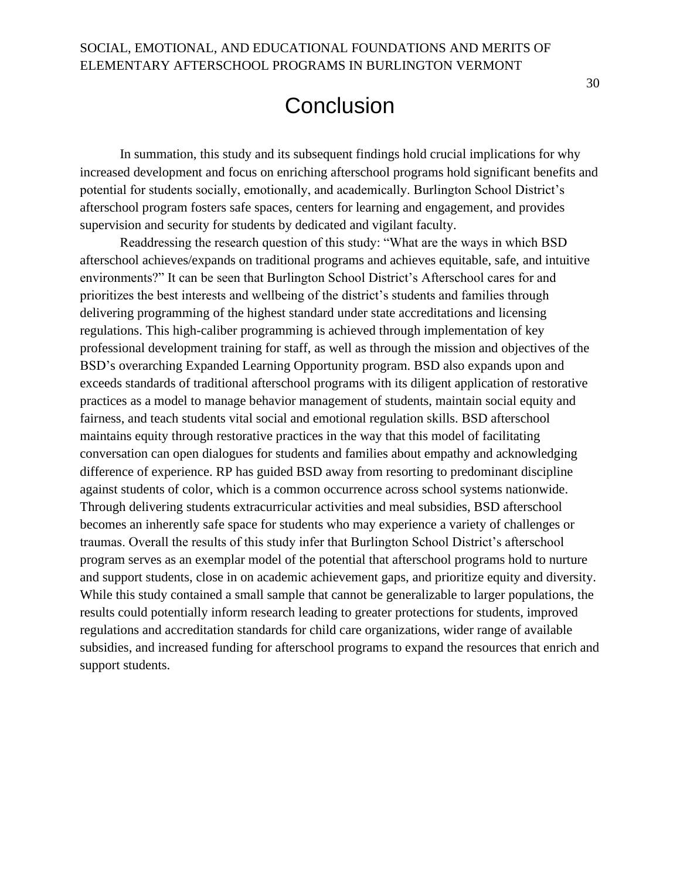# **Conclusion**

<span id="page-31-0"></span>In summation, this study and its subsequent findings hold crucial implications for why increased development and focus on enriching afterschool programs hold significant benefits and potential for students socially, emotionally, and academically. Burlington School District's afterschool program fosters safe spaces, centers for learning and engagement, and provides supervision and security for students by dedicated and vigilant faculty.

Readdressing the research question of this study: "What are the ways in which BSD afterschool achieves/expands on traditional programs and achieves equitable, safe, and intuitive environments?" It can be seen that Burlington School District's Afterschool cares for and prioritizes the best interests and wellbeing of the district's students and families through delivering programming of the highest standard under state accreditations and licensing regulations. This high-caliber programming is achieved through implementation of key professional development training for staff, as well as through the mission and objectives of the BSD's overarching Expanded Learning Opportunity program. BSD also expands upon and exceeds standards of traditional afterschool programs with its diligent application of restorative practices as a model to manage behavior management of students, maintain social equity and fairness, and teach students vital social and emotional regulation skills. BSD afterschool maintains equity through restorative practices in the way that this model of facilitating conversation can open dialogues for students and families about empathy and acknowledging difference of experience. RP has guided BSD away from resorting to predominant discipline against students of color, which is a common occurrence across school systems nationwide. Through delivering students extracurricular activities and meal subsidies, BSD afterschool becomes an inherently safe space for students who may experience a variety of challenges or traumas. Overall the results of this study infer that Burlington School District's afterschool program serves as an exemplar model of the potential that afterschool programs hold to nurture and support students, close in on academic achievement gaps, and prioritize equity and diversity. While this study contained a small sample that cannot be generalizable to larger populations, the results could potentially inform research leading to greater protections for students, improved regulations and accreditation standards for child care organizations, wider range of available subsidies, and increased funding for afterschool programs to expand the resources that enrich and support students.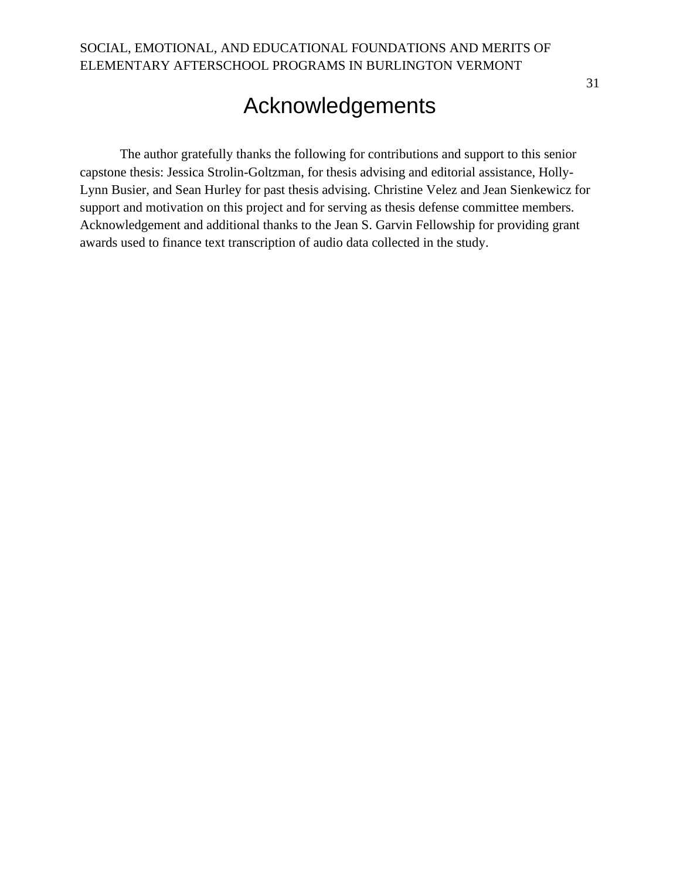# Acknowledgements

<span id="page-32-0"></span>The author gratefully thanks the following for contributions and support to this senior capstone thesis: Jessica Strolin-Goltzman, for thesis advising and editorial assistance, Holly-Lynn Busier, and Sean Hurley for past thesis advising. Christine Velez and Jean Sienkewicz for support and motivation on this project and for serving as thesis defense committee members. Acknowledgement and additional thanks to the Jean S. Garvin Fellowship for providing grant awards used to finance text transcription of audio data collected in the study.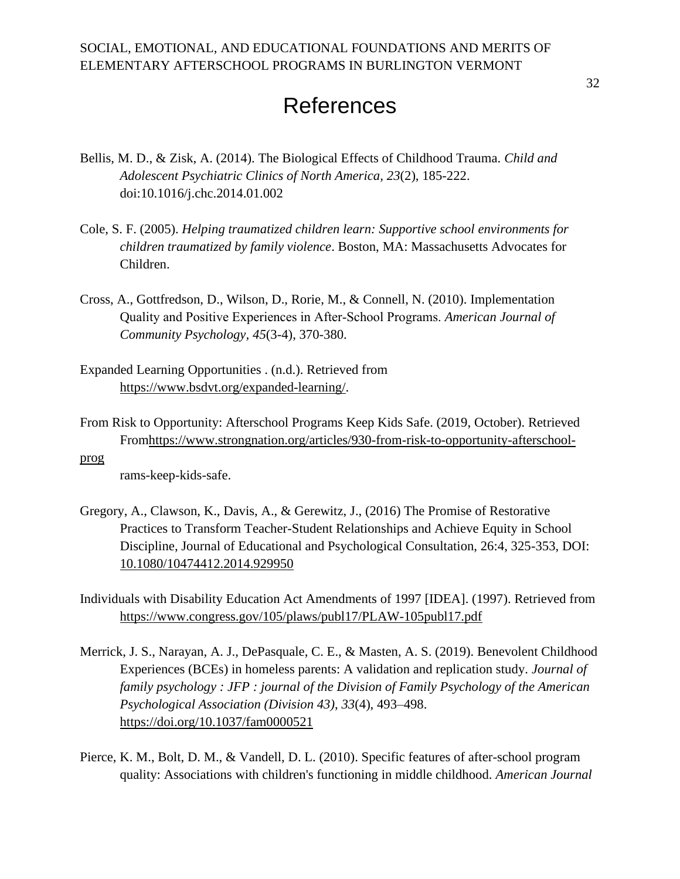# **References**

- <span id="page-33-0"></span>Bellis, M. D., & Zisk, A. (2014). The Biological Effects of Childhood Trauma. *Child and Adolescent Psychiatric Clinics of North America, 23*(2), 185-222. doi:10.1016/j.chc.2014.01.002
- Cole, S. F. (2005). *Helping traumatized children learn: Supportive school environments for children traumatized by family violence*. Boston, MA: Massachusetts Advocates for Children.
- Cross, A., Gottfredson, D., Wilson, D., Rorie, M., & Connell, N. (2010). Implementation Quality and Positive Experiences in After‐School Programs. *American Journal of Community Psychology, 45*(3-4), 370-380.
- Expanded Learning Opportunities . (n.d.). Retrieved from [https://www.bsdvt.org/expanded-learning/.](https://www.bsdvt.org/expanded-learning/)
- From Risk to Opportunity: Afterschool Programs Keep Kids Safe. (2019, October). Retrieved Fro[mhttps://www.strongnation.org/articles/930-from-risk-to-opportunity-afterschool-](https://www.strongnation.org/articles/930-from-risk-to-opportunity-afterschool-prog)
- [prog](https://www.strongnation.org/articles/930-from-risk-to-opportunity-afterschool-prog)

rams-keep-kids-safe.

- Gregory, A., Clawson, K., Davis, A., & Gerewitz, J., (2016) The Promise of Restorative Practices to Transform Teacher-Student Relationships and Achieve Equity in School Discipline, Journal of Educational and Psychological Consultation, 26:4, 325-353, DOI: [10.1080/10474412.2014.929950](https://doi.org/10.1080/10474412.2014.929950)
- Individuals with Disability Education Act Amendments of 1997 [IDEA]. (1997). Retrieved from <https://www.congress.gov/105/plaws/publ17/PLAW-105publ17.pdf>
- Merrick, J. S., Narayan, A. J., DePasquale, C. E., & Masten, A. S. (2019). Benevolent Childhood Experiences (BCEs) in homeless parents: A validation and replication study. *Journal of family psychology : JFP : journal of the Division of Family Psychology of the American Psychological Association (Division 43)*, *33*(4), 493–498. <https://doi.org/10.1037/fam0000521>
- Pierce, K. M., Bolt, D. M., & Vandell, D. L. (2010). Specific features of after-school program quality: Associations with children's functioning in middle childhood. *American Journal*